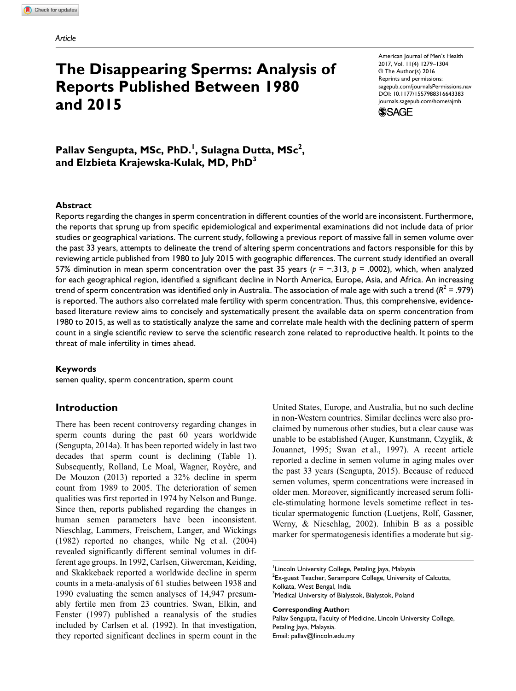# **The Disappearing Sperms: Analysis of Reports Published Between 1980 and 2015**

American Journal of Men's Health 2017, Vol. 11(4) 1279–1304 © The Author(s) 2016 Reprints and permissions: [sagepub.com/journalsPermissions.nav](http://sagepub.com/journalsPermissions.nav) DOI: [10.1177/1557988316643383](http://doi.org/10.1177/1557988316643383) [journals.sagepub.com/home/ajmh](http://journals.sagepub.com/home/ajmh)



Pallav Sengupta, MSc, PhD.<sup>1</sup>, Sulagna Dutta, MSc<sup>2</sup>, **and Elzbieta Krajewska-Kulak, MD, PhD3**

#### **Abstract**

Reports regarding the changes in sperm concentration in different counties of the world are inconsistent. Furthermore, the reports that sprung up from specific epidemiological and experimental examinations did not include data of prior studies or geographical variations. The current study, following a previous report of massive fall in semen volume over the past 33 years, attempts to delineate the trend of altering sperm concentrations and factors responsible for this by reviewing article published from 1980 to July 2015 with geographic differences. The current study identified an overall 57% diminution in mean sperm concentration over the past 35 years (*r* = −.313, *p* = .0002), which, when analyzed for each geographical region, identified a significant decline in North America, Europe, Asia, and Africa. An increasing trend of sperm concentration was identified only in Australia. The association of male age with such a trend  $(R^2 = .979)$ is reported. The authors also correlated male fertility with sperm concentration. Thus, this comprehensive, evidencebased literature review aims to concisely and systematically present the available data on sperm concentration from 1980 to 2015, as well as to statistically analyze the same and correlate male health with the declining pattern of sperm count in a single scientific review to serve the scientific research zone related to reproductive health. It points to the threat of male infertility in times ahead.

#### **Keywords**

semen quality, sperm concentration, sperm count

## **Introduction**

There has been recent controversy regarding changes in sperm counts during the past 60 years worldwide (Sengupta, 2014a). It has been reported widely in last two decades that sperm count is declining (Table 1). Subsequently, Rolland, Le Moal, Wagner, Royère, and De Mouzon (2013) reported a 32% decline in sperm count from 1989 to 2005. The deterioration of semen qualities was first reported in 1974 by Nelson and Bunge. Since then, reports published regarding the changes in human semen parameters have been inconsistent. Nieschlag, Lammers, Freischem, Langer, and Wickings (1982) reported no changes, while Ng et al. (2004) revealed significantly different seminal volumes in different age groups. In 1992, Carlsen, Giwercman, Keiding, and Skakkebaek reported a worldwide decline in sperm counts in a meta-analysis of 61 studies between 1938 and 1990 evaluating the semen analyses of 14,947 presumably fertile men from 23 countries. Swan, Elkin, and Fenster (1997) published a reanalysis of the studies included by Carlsen et al. (1992). In that investigation, they reported significant declines in sperm count in the United States, Europe, and Australia, but no such decline in non-Western countries. Similar declines were also proclaimed by numerous other studies, but a clear cause was unable to be established (Auger, Kunstmann, Czyglik, & Jouannet, 1995; Swan et al., 1997). A recent article reported a decline in semen volume in aging males over the past 33 years (Sengupta, 2015). Because of reduced semen volumes, sperm concentrations were increased in older men. Moreover, significantly increased serum follicle-stimulating hormone levels sometime reflect in testicular spermatogenic function (Luetjens, Rolf, Gassner, Werny, & Nieschlag, 2002). Inhibin B as a possible marker for spermatogenesis identifies a moderate but sig-

#### **Corresponding Author:**

Pallav Sengupta, Faculty of Medicine, Lincoln University College, Petaling Jaya, Malaysia. Email: [pallav@lincoln.edu.my](mailto:pallav@lincoln.edu.my)

<sup>&</sup>lt;sup>1</sup>Lincoln University College, Petaling Jaya, Malaysia  $2$ Ex-guest Teacher, Serampore College, University of Calcutta, Kolkata, West Bengal, India <sup>3</sup>Medical University of Bialystok, Bialystok, Poland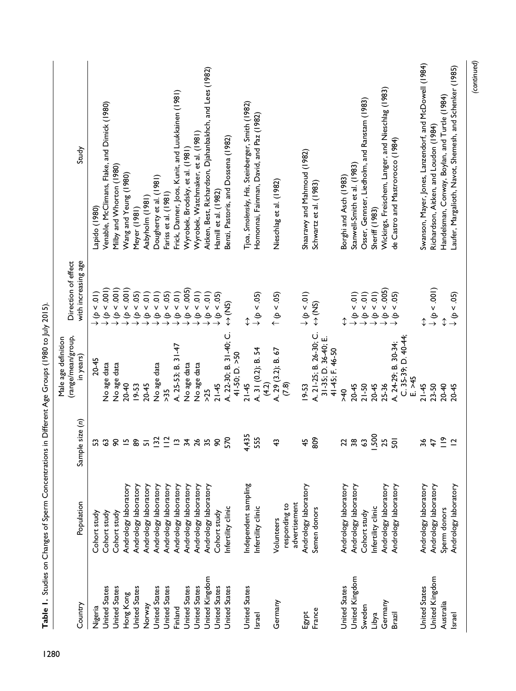| Study<br>with increasing age<br>Direction of effect<br>(range/mean/group,<br>Male age definition<br>in years) | Lapido (1980)<br>$\frac{1}{2}$<br>e<br>$20 - 45$ | Venable, McClimans, Flake, and Dimick (1980)<br>$(100 - 90)$<br>No age data | Milby and Whorton (1980)<br>$\downarrow$ ( $p < .001$ )<br>No age data | Wang and Yeung (1980)<br>$(100 - 90)$<br>$20 - 40$ | Meyer (1981)<br>$\downarrow$ ( $p < .05$ )<br>$19 - 53$ | Aabyholm (1981)<br>$(\rho < 0)$<br>20-45 | Dougherty et al. (1981)<br>$\begin{array}{c} (p < .01) \\ (p < .05) \end{array}$<br>No age data | Fariss et al. (1981)<br>>55 | Frick, Danner, Joos, Kunit, and Luukkainen (1981)<br>(p < 0)<br>A. 25-53; B. 31-47 | Wyrobek, Brodsky, et al. (1981)<br>$\downarrow$ ( $p < .005$ )<br>No age data | Wyrobek, Watchmaker, et al. (1981)<br>$(10-4)$<br>No age data | Aitken, Best, Richardson, Djahanbakhch, and Lees (1982)<br>$\downarrow$ ( $p < .01$ )<br>$\geq$ | Hamill et al. (1982)<br>$\downarrow$ (p < .05)<br>$21 - 45$ | Benzi, Pastoris, and Dossena (1982)<br>$\Leftrightarrow$ (NS)<br>A. 22-30; B. 31-40; C.<br>41-50; D. $>50$ | Tjoa, Smolensky, His, Steinberger, Smith (1982)<br>↨<br>$21 - 45$ | Homonnai, Fainman, David, and Paz (1982)<br>$\downarrow$ (b < .05)<br>A. 31 (0.2); B. 54<br>(4.2) | Nieschlag et al. (1982)<br>$(50 - 4)$<br>A. 29 (3.2); B. 67 | (7.8)         |               | Shaarawy and Mahmoud (1982)<br>$\downarrow$ (p < .01)<br>$19 - 53$ | Schwartz et al. (1983)<br>$\Leftrightarrow$ (NS)<br>A. 21-25; B. 26-30; C.<br>31-35; D. 36-40; E.<br>41-45; F. 46-50 | Borghi and Asch (1983)<br>$\updownarrow$<br>$\rightarrow 40$ | Stanwell-Smith et al. (1983)<br>$\downarrow$ (p < .01)<br>$20 - 45$ | Osser, Gennser, Liedholm, and Ranstam (1983)<br>$21 - 50$ | Sheriff (1983)<br>$\begin{array}{c} \downarrow \dot{\varphi} < .01) \\ \downarrow \dot{\varphi} < .01) \end{array}$<br>$20 - 45$ | Wickings, Freischem, Langer, and Nieschlag (1983)<br>$\downarrow$ (p < .005)<br>25-36 | de Castro and Mastrorocco (1984)<br>$(\phi \leq .05)$<br>$C. 35-39; D. 40-44;$<br>A. 24-29; B. 30-34;<br>$E \ge 45$ | Swanson, Mayer, Jones, Lanzendorf, and McDowell (1984)<br>↨<br>$21 - 45$ | Richardson, Aitken, and Loudon (1984)<br>$\downarrow$ (p < .001)<br>$23 - 50$ | Handelsman, Conway, Boylan, and Turtle (1984)<br>$20 - 40$ | Laufer, Margalioth, Navot, Shemesh, and Schenker (1985)<br>$\downarrow$ ( $p < .05$ )<br>$20 - 45$ |
|---------------------------------------------------------------------------------------------------------------|--------------------------------------------------|-----------------------------------------------------------------------------|------------------------------------------------------------------------|----------------------------------------------------|---------------------------------------------------------|------------------------------------------|-------------------------------------------------------------------------------------------------|-----------------------------|------------------------------------------------------------------------------------|-------------------------------------------------------------------------------|---------------------------------------------------------------|-------------------------------------------------------------------------------------------------|-------------------------------------------------------------|------------------------------------------------------------------------------------------------------------|-------------------------------------------------------------------|---------------------------------------------------------------------------------------------------|-------------------------------------------------------------|---------------|---------------|--------------------------------------------------------------------|----------------------------------------------------------------------------------------------------------------------|--------------------------------------------------------------|---------------------------------------------------------------------|-----------------------------------------------------------|----------------------------------------------------------------------------------------------------------------------------------|---------------------------------------------------------------------------------------|---------------------------------------------------------------------------------------------------------------------|--------------------------------------------------------------------------|-------------------------------------------------------------------------------|------------------------------------------------------------|----------------------------------------------------------------------------------------------------|
|                                                                                                               |                                                  |                                                                             |                                                                        |                                                    |                                                         |                                          |                                                                                                 |                             |                                                                                    |                                                                               |                                                               |                                                                                                 |                                                             |                                                                                                            |                                                                   |                                                                                                   |                                                             |               |               |                                                                    |                                                                                                                      |                                                              |                                                                     |                                                           |                                                                                                                                  |                                                                                       |                                                                                                                     |                                                                          |                                                                               |                                                            |                                                                                                    |
|                                                                                                               |                                                  |                                                                             |                                                                        |                                                    |                                                         |                                          |                                                                                                 |                             |                                                                                    |                                                                               |                                                               |                                                                                                 |                                                             |                                                                                                            |                                                                   |                                                                                                   |                                                             |               |               |                                                                    |                                                                                                                      |                                                              |                                                                     |                                                           |                                                                                                                                  |                                                                                       |                                                                                                                     |                                                                          |                                                                               |                                                            |                                                                                                    |
|                                                                                                               |                                                  |                                                                             |                                                                        |                                                    |                                                         |                                          |                                                                                                 |                             |                                                                                    |                                                                               |                                                               |                                                                                                 |                                                             |                                                                                                            |                                                                   |                                                                                                   |                                                             |               |               |                                                                    |                                                                                                                      |                                                              |                                                                     |                                                           |                                                                                                                                  |                                                                                       |                                                                                                                     |                                                                          |                                                                               |                                                            |                                                                                                    |
| ple size (n)<br>Sam                                                                                           |                                                  | 53                                                                          | $\infty$                                                               | $\overline{5}$                                     | န္တ                                                     | $\overline{5}$                           | 132                                                                                             | $\frac{1}{2}$               | $\tilde{c}$                                                                        | 34                                                                            | 26                                                            | 35                                                                                              | $\infty$                                                    | 570                                                                                                        | 4,435                                                             | 555                                                                                               | $\boldsymbol{\hat{z}}$                                      |               |               | 45                                                                 | 809                                                                                                                  | 22                                                           | 38                                                                  | $\mathbf{\hat{c}}$                                        | 1,500                                                                                                                            | 25                                                                                    | $\overline{5}$                                                                                                      | 36                                                                       | 47                                                                            | $\tilde{=}$                                                | $\overline{C}$                                                                                     |
| Population                                                                                                    | Cohort study                                     | Cohort study                                                                | Cohort study                                                           | Andrology laboratory                               | Andrology laboratory                                    | Andrology laboratory                     | Andrology laboratory                                                                            | Andrology laboratory        | Andrology laboratory                                                               | Andrology laboratory                                                          | Andrology laboratory                                          | Andrology laboratory                                                                            | Cohort study                                                | Infertility clinic                                                                                         | Independent sampling                                              | Infertility clinic                                                                                | Volunteers                                                  | responding to | advertisement | Andrology laboratory                                               | Semen donors                                                                                                         | Andrology laboratory                                         | Andrology laboratory                                                | Cohort study                                              | Infertility clinic                                                                                                               | Andrology laboratory                                                                  | Andrology laboratory                                                                                                | Andrology laboratory                                                     | Andrology laboratory                                                          | Sperm donors                                               | Andrology laboratory                                                                               |
| Country                                                                                                       | Nigeria                                          | <b>United States</b>                                                        | <b>United States</b>                                                   | Hong Kong                                          | <b>United States</b>                                    | Norway                                   | <b>United States</b>                                                                            | <b>United States</b>        | Finland                                                                            | United States                                                                 | <b>United States</b>                                          | United Kingdom                                                                                  | United States                                               | United States                                                                                              | <b>United States</b>                                              | Israel                                                                                            | Germany                                                     |               |               | Egypt                                                              | France                                                                                                               | <b>United States</b>                                         | United Kingdom                                                      | Sweden                                                    | Libya                                                                                                                            | Germany                                                                               | Brazil                                                                                                              | <b>United States</b>                                                     | United Kingdom                                                                | Australia                                                  | Israel                                                                                             |

Table 1. Studies on Changes of Sperm Concentrations in Different Age Groups (1980 to July 2015). 1280 **Table 1.** Studies on Changes of Sperm Concentrations in Different Age Groups (1980 to July 2015).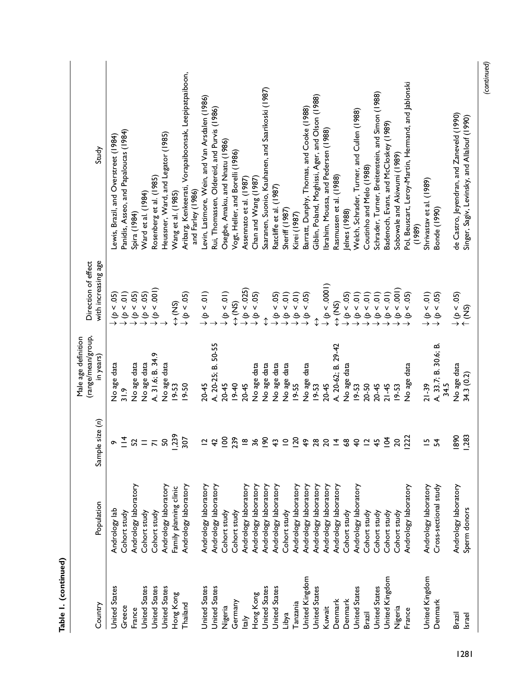| Table 1. (continued) |                        |                               |                                           |                                                                                       |                                                                            |
|----------------------|------------------------|-------------------------------|-------------------------------------------|---------------------------------------------------------------------------------------|----------------------------------------------------------------------------|
|                      |                        |                               | (range/mean/group,<br>Male age definition | Direction of effect                                                                   |                                                                            |
| Country              | Population             | ple size (n)<br>Sam           | in years)                                 | with increasing age                                                                   | Study                                                                      |
| <b>United States</b> | Andrology lab          |                               | No age data                               |                                                                                       | Lewis, Brazil, and Overstreet (1984)                                       |
| Greece               | Cohort study           | $\circ \frac{1}{4}$           | 31.9                                      | $\begin{array}{c} \downarrow \phi < .05) \\ \downarrow \phi < .01) \end{array}$       | Panidis, Asseo, and Papaloucas (1984)                                      |
| France               | Andrology laboratory   | 52                            | No age data                               | $\downarrow$ ( $p < .05$ )                                                            | Spira (1984)                                                               |
| <b>United States</b> | Cohort study           | $=$ $\overline{R}$            | No age data                               | $\downarrow$ (b < .05)                                                                | Ward et al. (1984)                                                         |
| <b>United States</b> | Cohort study           |                               | A. 31.6; B. 34.9                          | $\downarrow$ ( $p < .001$ )                                                           | Rosenberg et al. (1985)                                                    |
| <b>United States</b> | Andrology laboratory   | SQ                            | No age data                               |                                                                                       | Heussner, Ward, and Legator (1985)                                         |
| Hong Kong            | Family planning clinic | ,239                          | 19-53                                     | $\Leftrightarrow$ (NS)                                                                | Wang et al. (1985)                                                         |
| Thailand             | Andrology laboratory   | 307                           | $19 - 50$                                 | $\downarrow$ ( $p < .05$ )                                                            | Aribarg, Kenkeerati, Vorapaiboonsak, Leepipatpaiboon,<br>and Farley (1986) |
| <b>United States</b> | Andrology laboratory   | $\overline{C}$                | $20 - 45$                                 | $\downarrow$ ( $p < .01$ )                                                            | Levin, Latimore, Wein, and Van Arsdalen (1986)                             |
| United States        | Andrology laboratory   | $\overline{4}$                | A. 20-25; B. 50-55                        |                                                                                       | Rui, Thomassen, Oldereid, and Purvis (1986)                                |
| Nigeria              | Cohort study           | $\overline{8}$                | 20-45                                     | $\downarrow$ (p < .01)                                                                | Osegbe, Amaku, and Nnatu (1986)                                            |
| Germany              | Cohort study           | 239                           | 19-40                                     | $\Leftrightarrow$ (NS)                                                                | Vogt, Heller, and Borelli (1986)                                           |
| taly                 | Andrology laboratory   | $\mathbf{\underline{\omega}}$ | $20 - 45$                                 | $\downarrow$ ( $p < .025$ )                                                           | Assennato et al. (1987)                                                    |
| Hong Kong            | Andrology laboratory   | 36                            | No age data                               | $\downarrow$ (p < .05)                                                                | Chan and Wang (1987)                                                       |
| <b>United States</b> | Andrology laboratory   | $\overline{5}$                | No age data                               | ⇕                                                                                     | Saaranen, Suonio, Kauhanen, and Saarikoski (1987)                          |
| United States        | Andrology laboratory   | $\ddot{ }$                    | No age data                               | $\downarrow$ (p < .05)                                                                | Ratcliffe et al. (1987)                                                    |
| Libya                | Cohort study           | $\subseteq$                   | No age data                               | $\downarrow$ (p < .01)                                                                | Sheriff (1987)                                                             |
| Tanzania             | Andrology laboratory   | $\overline{20}$               | 19-55                                     | $\downarrow$ ( $p < .01$ )                                                            | Kirei (1987)                                                               |
| United Kingdom       | Andrology laboratory   | $\frac{6}{4}$                 | No age data                               | $\downarrow$ $(p$ < .05)                                                              | Barratt, Dunphy, Thomas, and Cooke (1988)                                  |
| <b>United States</b> | Andrology laboratory   | 28                            | $19 - 53$                                 | ↨                                                                                     | Giblin, Poland, Moghissi, Ager, and Olson (1988)                           |
| Kuwait               | Andrology laboratory   | 20                            | $20 - 45$                                 | $\downarrow \phi$ < .0001)                                                            | Ibrahim, Moussa, and Pedersen (1988)                                       |
| Denmark              | Andrology laboratory   | $\overline{4}$                | A. 20-62; B. 29-42                        | (SN)                                                                                  | Rasmussen et al. (1988)                                                    |
| Denmark              | Cohort study           | \$                            | No age data                               | $\downarrow$ (b < .05)                                                                | Jelnes (1988)                                                              |
| <b>United States</b> | Andrology laboratory   | $\overline{4}$                | 19-53                                     | $\downarrow$ (p < .01)                                                                | Welch, Schrader, Turner, and Cullen (1988)                                 |
| Brazil               | Cohort study           | $\overline{\mathbf{c}}$       | $20 - 50$                                 | $(10 - 4)$                                                                            | Coutinho and Melo (1988)                                                   |
| <b>United States</b> | Cohort study           | $\frac{45}{5}$                | $20 - 45$                                 | $\downarrow$ (p < .01)                                                                | Schrader, Turner, Breitenstein, and Simon (1988)                           |
| United Kingdom       | Cohort study           | $\overline{5}$                | $21 - 45$                                 | $\downarrow$ (p < .01)                                                                | Badenoch, Evans, and McCloskey (1989)                                      |
| Nigeria              | Cohort study           | $\overline{c}$                | $19 - 53$                                 | $\downarrow$ (p < .001)                                                               | Sobowale and Akiwumi (1989)                                                |
| France               | Andrology laboratory   | 222                           | No age data                               | $\downarrow$ (p < .05)                                                                | Pol, Beuscart, Leroy-Martin, Hermand, and Jablonski<br>(1989)              |
| United Kingdom       | Andrology laboratory   | 으                             | $21 - 39$                                 | $\begin{array}{c} \downarrow \ (\rho < .01) \\ \downarrow \ (\rho < .05) \end{array}$ | Shrivastav et al. (1989)                                                   |
| Denmark              | Cross-sectional study  | 54                            | A. 33.7; B. 30.6; B.<br>34.5              |                                                                                       | Bonde (1990)                                                               |
| Brazil               | Andrology laboratory   | 1890                          | No age data                               | $\downarrow$ ( $p < .05$ )                                                            | de Castro, Jeyendran, and Zaneveld (1990)                                  |
| Israel               | Sperm donors           | <b>1,283</b>                  | 34.3 (0.2)                                | (5N)                                                                                  | Singer, Sagiv, Levinsky, and Allalouf (1990)                               |

*(continued)*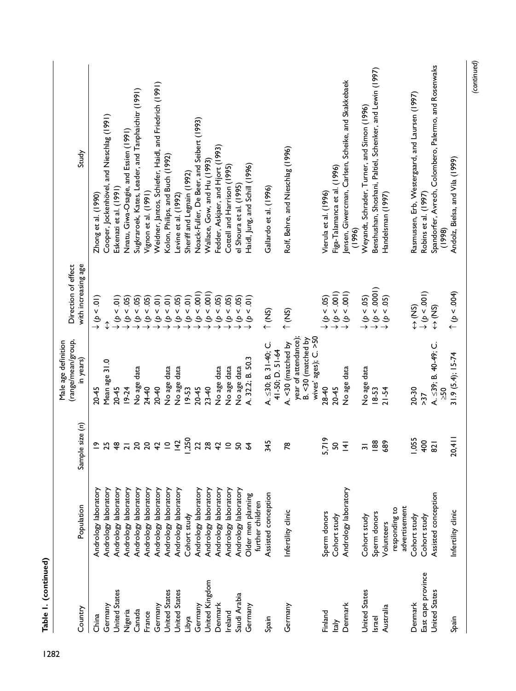| Study                                                  | Zhong et al. $(1990)$               | Cooper, Jockenhövel, and Nieschlag (1991) | Eskenazi et al. (1991  | Nnatu, Giwa-Osagie, and Essien (1991) | Sugkraroek, Kates, Leader, and Tanphaichitr (1991) | Vignon et al. (1991)   | Weidner, Jantos, Schiefer, Haidl, and Friedrich (1991) | Kolon, Philips, and Buch (1992)                | Levine et al. (1992) | Sheriff and Legnain (1992) | Noack-Fuller, De Beer, and Seibert (1993) | Wallace, Gow, and Hu (1993) | Fedder, Askjaer, and Hjort (1993) | Cottell and Harrison (1995) | el Shoura et al. (1995) | Haidl, Jung, and Schill (1996)                                        | Gallardo et al. (1996)                        | Rolf, Behre, and Nieschlag (1996)                                                        | Vierula et al. (1996)  | Figa-Talamanca et al. (1996) | ensen, Giwercman, Carlsen, Scheike, and Skakkebaek<br>(1996) | Weyandt, Schrader, Turner, and Simon (1996) | Benshushan, Shoshani, Paltiel, Schenker, and Lewin (1997) | Handelsman (1997)                                                                        |                                | Rasmussen, Erb, Westergaard, and Laursen (1997) | Robins et al. (1997)        | Spandorfer, Avrech, Colombero, Palermo, and Rosenwaks<br>(1998) | Andolz, Bielsa, and Vila (1999) |
|--------------------------------------------------------|-------------------------------------|-------------------------------------------|------------------------|---------------------------------------|----------------------------------------------------|------------------------|--------------------------------------------------------|------------------------------------------------|----------------------|----------------------------|-------------------------------------------|-----------------------------|-----------------------------------|-----------------------------|-------------------------|-----------------------------------------------------------------------|-----------------------------------------------|------------------------------------------------------------------------------------------|------------------------|------------------------------|--------------------------------------------------------------|---------------------------------------------|-----------------------------------------------------------|------------------------------------------------------------------------------------------|--------------------------------|-------------------------------------------------|-----------------------------|-----------------------------------------------------------------|---------------------------------|
| with increasing age<br>Direction of effect             | $\frac{1}{2}$<br>$\rightarrow \phi$ | ↨                                         | $\downarrow$ (p < .01) | $\downarrow$ (p < .05)                | $\downarrow$ (p < .05)                             | $\downarrow$ (p < .05) |                                                        | $(6 - 0.01)$<br>$(10 - 0.01)$<br>$(10 - 0.05)$ |                      | $\downarrow$ ( $p < .01$ ) | 0.001<br>$\rightarrow$                    | $\downarrow$ (p < .001)     | 0.05<br>$\Rightarrow$             | 0.05                        | (5)                     | $\widehat{5}$<br>$\overline{\mathsf{v}}$<br>$\rightarrow \rightarrow$ | (5N)                                          | (5N)                                                                                     | $\downarrow$ (p < .05) | $\downarrow$ ( $p < .001$ )  | $\downarrow$ $(p < 001)$                                     |                                             |                                                           | $\downarrow$ ( $p < .05$ )<br>$\downarrow$ ( $p < .0001$ )<br>$\downarrow$ ( $p < .05$ ) |                                | $\Leftrightarrow$ (NS)                          | $\downarrow$ ( $p < .001$ ) | GN⊅                                                             | $\uparrow$ (p < .004)           |
| (range/mean/group,<br>Male age definition<br>in years) | $20 - 45$                           | Mean age 31.0                             | $20 - 45$              | $19 - 24$                             | No age data                                        | $24 - 40$              | $20 - 40$                                              | No age data                                    | No age data          | 19-53                      | $20 - 45$                                 | $23 - 40$                   | No age data                       | No age data                 | No age data             | A. 32.2; B. 50.3                                                      | A. $\leq$ 30; B. 31-40; C.<br>41-50; D. 51-64 | wives' ages); C. >50<br>year of attendance);<br>B. <30 (matched by<br>A. <30 (matched by | $28 - 40$              | $20 - 45$                    | No age data                                                  | No age data                                 | 18-53                                                     | 21-54                                                                                    |                                | 20-30                                           | 55                          | A. $\leq$ 39; B. 40-49; C.<br>50                                | $31.9(5.4); 15-74$              |
| Sample size (n)                                        |                                     | 25                                        | 48                     | $\overline{z}$                        | $\overline{c}$                                     | $\overline{20}$        | $\overline{4}$                                         | $\subseteq$                                    | 142                  | 1,250                      | 22                                        | 28                          | 42                                | $\subseteq$                 | S                       | $\mathcal{L}$                                                         | 345                                           | 78                                                                                       | 5,719                  | S                            | $\overline{4}$                                               | $\overline{5}$                              | 188                                                       | 689                                                                                      |                                | 1,055                                           | 400                         | 821                                                             | 20,411                          |
| Population                                             | Andrology laboratory                | Andrology laboratory                      | Andrology laboratory   | Andrology laboratory                  | Andrology laboratory                               | Andrology laboratory   | Andrology laboratory                                   | Andrology laboratory                           | Andrology laboratory | Cohort study               | Andrology laboratory                      | Andrology laboratory        | Andrology laboratory              | Andrology laboratory        | Andrology laboratory    | Older men planning<br>further children                                | Assisted conception                           | Infertility clinic                                                                       | Sperm donors           | Cohort study                 | Andrology laboratory                                         | Cohort study                                | Sperm donors                                              | Volunteers                                                                               | advertisement<br>responding to | Cohort study                                    | Cohort study                | Assisted conception                                             | Infertility clinic              |
| Country                                                | China                               | Germany                                   | United States          | Nigeria                               | Canada                                             | France                 | Germany                                                | United States                                  | <b>United States</b> | Libya                      | Germany                                   | United Kingdom              | Denmark                           | Ireland                     | Saudi Arabia            | Germany                                                               | Spain                                         | Germany                                                                                  | Finland                | ltaly                        | Denmark                                                      | <b>United States</b>                        | Israel                                                    | Australia                                                                                |                                | Denmark                                         | East cape province          | United States                                                   | Spain                           |

1282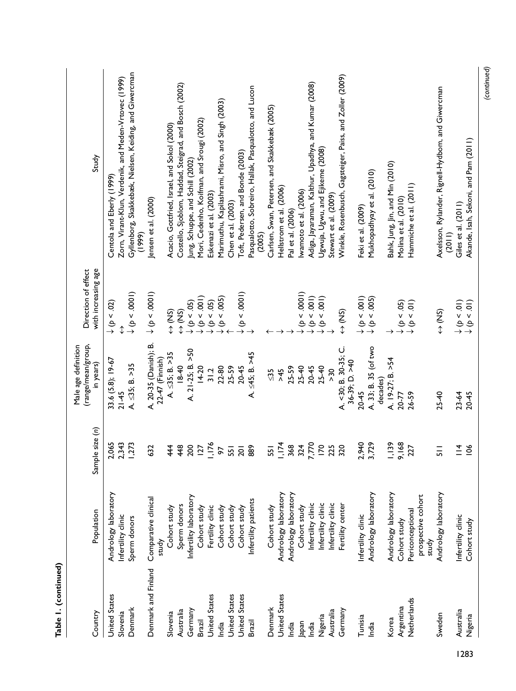|      | Table I. (continued) |                                                 |                       |                                                        |                                                                                                                 |                                                                  |
|------|----------------------|-------------------------------------------------|-----------------------|--------------------------------------------------------|-----------------------------------------------------------------------------------------------------------------|------------------------------------------------------------------|
|      | Country              | Population                                      | le size (n)<br>Sample | (range/mean/group,<br>Male age definition<br>in years) | with increasing age<br>Direction of effect                                                                      | Study                                                            |
|      |                      |                                                 |                       |                                                        |                                                                                                                 |                                                                  |
|      | <b>United States</b> | Andrology laboratory                            | 1,065<br>$\sim$       | 33.6 (5.8); 19-67                                      | $\downarrow$ (p < .02)                                                                                          | Centola and Eberly (1999)                                        |
|      | Slovenia             | Infertility clinic                              | 2,343                 | $21 - 45$                                              | ↨                                                                                                               | Zorn, Virant-Klun, Verdenik, and Meden-Vrtovec (1999)            |
|      | Denmark              | Sperm donors                                    | ,273                  | $A. \leq 35; B. > 35$                                  |                                                                                                                 | Gyllenborg, Skakkebæk, Nielsen, Keiding, and Giwercman<br>(1999) |
|      | Denmark and Finland  | Comparative clinical                            | 632                   | A. 20-35 (Danish); B.                                  | $\downarrow$ (p < .0001)                                                                                        | Jensen et al. (2000)                                             |
|      |                      | study                                           |                       | 22-47 (Finnish)                                        |                                                                                                                 |                                                                  |
|      | Slovenia             | Cohort study                                    | 44                    | $A. \leq 35; B. > 35$                                  | $\Leftrightarrow$ (NS)                                                                                          | Acacio, Gottfried, Israel, and Sokol (2000)                      |
|      | Australia            | Sperm donors                                    | 448                   | 1840                                                   | $\frac{1}{2}$                                                                                                   | Costello, Sjoblom, Haddad, Steigrad, and Bosch (2002)            |
|      | Germany              | Infertility laboratory                          | 200                   | A. 21-25; B. >50                                       |                                                                                                                 | Jung, Schuppe, and Schill (2002)                                 |
|      | Brazil               | Cohort study                                    | 127                   | $14 - 20$                                              | $\begin{array}{c}\n\downarrow \ (\triangleright\,<\,05)\n\\ \downarrow \ (\triangleright\,<\,001)\n\end{array}$ | Mori, Cedenho, Koifman, and Srougi (2002)                        |
|      | <b>United States</b> | Fertility clinic                                | 1,176                 | 31.2                                                   | $\downarrow$ (p < .05)                                                                                          | Eskenazi et al. (2003)                                           |
|      | India                | Cohort study                                    | 56                    | 22-80                                                  | $\downarrow$ (b < .005)                                                                                         | Marimuthu, Kapilashrami, Misro, and Singh (2003)                 |
|      | <b>United States</b> | Cohort study                                    | 551                   | 25-59                                                  |                                                                                                                 | Chen et al. (2003)                                               |
|      | <b>United States</b> | Cohort study                                    | 201                   | 20-45                                                  | $\begin{array}{c} \downarrow \ (\flat < .0001) \\ \downarrow \end{array}$                                       | Toft, Pedersen, and Bonde (2003)                                 |
|      | Brazil               | Infertility patients                            | 889                   | A. ≤45; B. >45                                         |                                                                                                                 | Pasqualotto, Sobreiro, Hallak, Pasqualotto, and Lucon<br>(2005)  |
|      | Denmark              | Cohort study                                    | 551                   | $\frac{5}{2}$                                          |                                                                                                                 | Carlsen, Swan, Petersen, and Skakkebæk (2005)                    |
|      | <b>United States</b> | Andrology laboratory                            | 1,174                 | $5+2$                                                  |                                                                                                                 | Hellstrom et al. (2006)                                          |
|      | India                | Andrology laboratory                            | 368                   | 25-59                                                  |                                                                                                                 | Pal et al. (2006)                                                |
|      | Japan                | Cohort study                                    | 324                   | $25 - 40$                                              | $\downarrow$ ( $p < .0001$ )                                                                                    | Iwamoto et al. (2006)                                            |
|      | India                | Infertility clinic                              | 7,770                 | $20 - 45$                                              | $\downarrow$ ( $\rho$ < .001)                                                                                   | Adiga, Jayaraman, Kalthur, Upadhya, and Kumar (2008)             |
|      | Nigeria              | Infertility clinic                              | $\overline{170}$      | $25 - 40$                                              | $\downarrow \hat{\phi}$ < .001)                                                                                 | Ugwuja, Ugwu, and Ejikeme (2008)                                 |
|      | Australia            | Infertility clinic                              | 225                   | >30                                                    |                                                                                                                 | Stewart et al. (2009)                                            |
|      | Germany              | Fertility center                                | 320                   | A. <30; B. 30-35; C.<br>36-39; D. >40                  | $\Leftrightarrow$ (NS)                                                                                          | Winkle, Rosenbusch, Gagsteiger, Paiss, and Zoller (2009)         |
|      | Tunisia              | Infertility clinic                              |                       | $20 - 45$                                              |                                                                                                                 | Feki et al. (2009)                                               |
|      | India                | Andrology laboratory                            | 2,940<br>3,729        | A. 33; B. 35 (of two<br>decades)                       | $\begin{array}{c} \downarrow \ (\mathcal{p} < .001) \\ \downarrow \ (\mathcal{p} < .005) \end{array}$           | Mukhopadhyay et al. (2010)                                       |
|      |                      |                                                 |                       |                                                        |                                                                                                                 |                                                                  |
|      | Korea                | Andrology laboratory                            | 1,139                 | A. 19-27; B. >54                                       |                                                                                                                 | Bahk, Jung, Jin, and Min (2010)                                  |
|      | Argentina            | Cohort study                                    | 9,168                 | 20-77                                                  | $\downarrow$ (p < .05)                                                                                          | Molina et al. (2010)                                             |
|      | Netherlands          | prospective cohort<br>Periconceptional<br>study | 227                   | 26-59                                                  | $\downarrow$ ( $p < .01$ )                                                                                      | Hammiche et al. (2011)                                           |
|      | Sweden               | Andrology laboratory                            | $\overline{5}$        | $25 - 40$                                              | $\Leftrightarrow$ (NS)                                                                                          | Axelsson, Rylander, Rignell-Hydbom, and Giwercman<br>(2011)      |
|      | Australia            | Infertility clinic                              | $\frac{4}{1}$         | $23-64$                                                | $\downarrow$ (p < .01)                                                                                          | Giles et al. (2011)                                              |
| 1283 | Nigeria              | Cohort study                                    | 106                   | $20 - 45$                                              | $\downarrow$ ( $p < 0$ 1)                                                                                       | Akande, Isah, Sekoni, and Pam (2011)                             |
|      |                      |                                                 |                       |                                                        |                                                                                                                 |                                                                  |

*(continued)*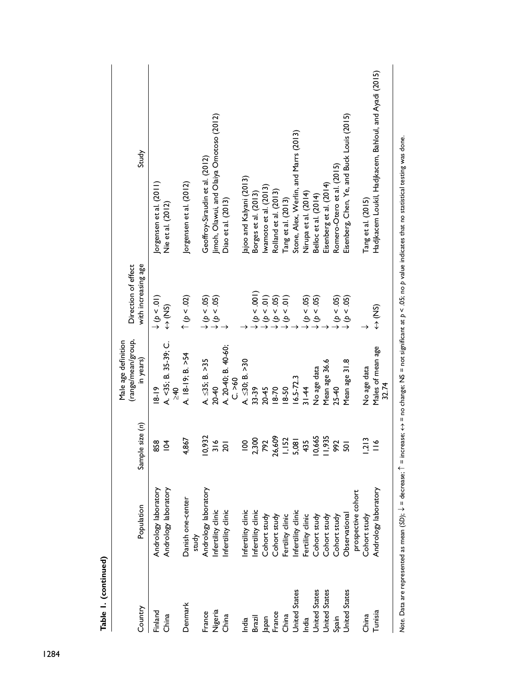| Study                                                  | Jorgensen et al. (2011)<br>Nie et al. (2012)       | Jorgensen et al. (2012)    | Geoffroy-Siraudin et al. (2012)                                                         | Jimoh, Olawui, and Olaiya Omotoso (2012)<br>Diao et al. (2013) |         | Jajoo and Kalyani (2013) | Borges et al. (2013) | lwamoto et al. (2013)  | Rolland et al. (2013)      | Tang et al. (2013) | Stone, Alex, Werlin, and Marrs (2013) | Nirupa et al. (2014)   | Belloc et al. (2014)       | Eisenberg et al. (2014) | Romero-Otero et al. (2015) | Eisenberg, Chen, Ye, and Buck Louis (2015) |                    | Tang et al. (2015) | Hadjkacem Loukil, Hadjkacem, Bahloul, and Ayadi (2015) |               |
|--------------------------------------------------------|----------------------------------------------------|----------------------------|-----------------------------------------------------------------------------------------|----------------------------------------------------------------|---------|--------------------------|----------------------|------------------------|----------------------------|--------------------|---------------------------------------|------------------------|----------------------------|-------------------------|----------------------------|--------------------------------------------|--------------------|--------------------|--------------------------------------------------------|---------------|
| with increasing age<br>Direction of effect             | $\downarrow$ (p < .01)<br>$\Leftrightarrow$ (NS)   | (20 > 4)                   | $\begin{array}{c}\n\downarrow \phi \leq .05) \\ \downarrow \phi \leq .05)\n\end{array}$ |                                                                |         |                          | (100 > 4)            | $\downarrow$ (p < .01) | $\downarrow$ ( $p < .05$ ) | $(10-4)$           |                                       | $\downarrow$ (b < .05) | $\downarrow$ ( $p < .05$ ) |                         | $\downarrow$ (b < .05)     | $\downarrow$ (b < .05)                     |                    |                    | S<br>↓                                                 |               |
| (range/mean/group,<br>Male age definition<br>in years) | A. <35; B. 35-39; C.<br>$\frac{5}{2}$<br>$18 - 19$ | A. 18-19; B. >54           | $A. \leq 35; B. > 35$                                                                   | A. 20-40; B. 40-60;<br>$20-40$                                 | C. > 60 | $A. \leq 30; B. > 30$    | 33-39                | $20 - 45$              | $18-70$                    | $18 - 50$          | $16.5 - 72.3$                         | $31 - 44$              | No age data                | Mean age 36.6           | $25 - 40$                  | Mean age 31.8                              |                    | No age data        | Males of mean age<br>32.74                             |               |
| Sample size (n)                                        | 858<br>$\overline{5}$                              | 4,867                      | 10,932                                                                                  | 316<br>$\overline{20}$                                         |         | $\frac{8}{1}$            | 2,300                | 792                    | 26,609                     | 1,152              | 5,081                                 | 435                    | 10,665                     | 11,935                  | 992                        | $\overline{5}$                             |                    | 1,213              | $\frac{8}{1}$                                          |               |
| Population                                             | Andrology laboratory<br>Andrology laboratory       | Danish one-center<br>study | Andrology laboratory                                                                    | Infertility clinic<br>Infertility clinic                       |         | Infertility clinic       | Infertility clinic   | Cohort study           | Cohort study               | Fertility clinic   | Infertility clinic                    | Fertility clinic       | Cohort study               | Cohort study            | Cohort study               | Observational                              | prospective cohort | Cohort study       | Andrology laboratory                                   | $\frac{1}{2}$ |
| Country                                                | Finland<br>China                                   | Denmark                    | France                                                                                  | Nigeria<br>China                                               |         | India                    | Brazil               | Japan                  | France                     | China              | United States                         | India                  | <b>United States</b>       | <b>United States</b>    | Spain                      | United States                              |                    | China              | Tunisia                                                |               |

Note. Data are represented as mean (SD);  $\downarrow$  = decrease;  $\uparrow$  = increase;  $\leftrightarrow$  = no change; NS = not significant at  $p < 0$ 5; no p value indicates that no statistical testing was done. *Note*. Data are represented as mean (*SD*); ↓ = decrease; ↑ = increase; ↔ = no change; NS = not significant at *p* < .05; no *p* value indicates that no statistical testing was done.

Table 1. (continued) **Table 1. (continued)**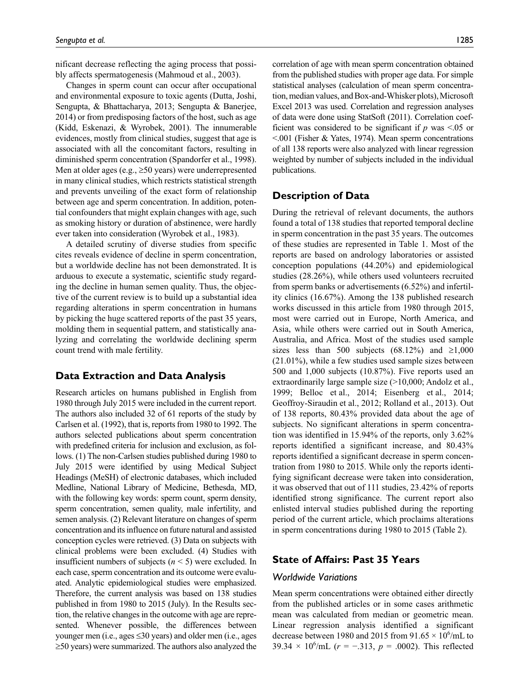nificant decrease reflecting the aging process that possibly affects spermatogenesis (Mahmoud et al., 2003).

Changes in sperm count can occur after occupational and environmental exposure to toxic agents (Dutta, Joshi, Sengupta, & Bhattacharya, 2013; Sengupta & Banerjee, 2014) or from predisposing factors of the host, such as age (Kidd, Eskenazi, & Wyrobek, 2001). The innumerable evidences, mostly from clinical studies, suggest that age is associated with all the concomitant factors, resulting in diminished sperm concentration (Spandorfer et al., 1998). Men at older ages (e.g.,  $\geq 50$  years) were underrepresented in many clinical studies, which restricts statistical strength and prevents unveiling of the exact form of relationship between age and sperm concentration. In addition, potential confounders that might explain changes with age, such as smoking history or duration of abstinence, were hardly ever taken into consideration (Wyrobek et al., 1983).

A detailed scrutiny of diverse studies from specific cites reveals evidence of decline in sperm concentration, but a worldwide decline has not been demonstrated. It is arduous to execute a systematic, scientific study regarding the decline in human semen quality. Thus, the objective of the current review is to build up a substantial idea regarding alterations in sperm concentration in humans by picking the huge scattered reports of the past 35 years, molding them in sequential pattern, and statistically analyzing and correlating the worldwide declining sperm count trend with male fertility.

# **Data Extraction and Data Analysis**

Research articles on humans published in English from 1980 through July 2015 were included in the current report. The authors also included 32 of 61 reports of the study by Carlsen et al. (1992), that is, reports from 1980 to 1992. The authors selected publications about sperm concentration with predefined criteria for inclusion and exclusion, as follows. (1) The non-Carlsen studies published during 1980 to July 2015 were identified by using Medical Subject Headings (MeSH) of electronic databases, which included Medline, National Library of Medicine, Bethesda, MD, with the following key words: sperm count, sperm density, sperm concentration, semen quality, male infertility, and semen analysis. (2) Relevant literature on changes of sperm concentration and its influence on future natural and assisted conception cycles were retrieved. (3) Data on subjects with clinical problems were been excluded. (4) Studies with insufficient numbers of subjects (*n* < 5) were excluded. In each case, sperm concentration and its outcome were evaluated. Analytic epidemiological studies were emphasized. Therefore, the current analysis was based on 138 studies published in from 1980 to 2015 (July). In the Results section, the relative changes in the outcome with age are represented. Whenever possible, the differences between younger men (i.e., ages  $\leq 30$  years) and older men (i.e., ages ≥50 years) were summarized. The authors also analyzed the

correlation of age with mean sperm concentration obtained from the published studies with proper age data. For simple statistical analyses (calculation of mean sperm concentration, median values, and Box-and-Whisker plots), Microsoft Excel 2013 was used. Correlation and regression analyses of data were done using StatSoft (2011). Correlation coefficient was considered to be significant if  $p$  was  $\leq 0.05$  or <.001 (Fisher & Yates, 1974). Mean sperm concentrations of all 138 reports were also analyzed with linear regression weighted by number of subjects included in the individual publications.

# **Description of Data**

During the retrieval of relevant documents, the authors found a total of 138 studies that reported temporal decline in sperm concentration in the past 35 years. The outcomes of these studies are represented in Table 1. Most of the reports are based on andrology laboratories or assisted conception populations (44.20%) and epidemiological studies (28.26%), while others used volunteers recruited from sperm banks or advertisements (6.52%) and infertility clinics (16.67%). Among the 138 published research works discussed in this article from 1980 through 2015, most were carried out in Europe, North America, and Asia, while others were carried out in South America, Australia, and Africa. Most of the studies used sample sizes less than 500 subjects (68.12%) and  $\geq 1,000$ (21.01%), while a few studies used sample sizes between 500 and 1,000 subjects (10.87%). Five reports used an extraordinarily large sample size (>10,000; Andolz et al., 1999; Belloc et al., 2014; Eisenberg et al., 2014; Geoffroy-Siraudin et al., 2012; Rolland et al., 2013). Out of 138 reports, 80.43% provided data about the age of subjects. No significant alterations in sperm concentration was identified in 15.94% of the reports, only 3.62% reports identified a significant increase, and 80.43% reports identified a significant decrease in sperm concentration from 1980 to 2015. While only the reports identifying significant decrease were taken into consideration, it was observed that out of 111 studies, 23.42% of reports identified strong significance. The current report also enlisted interval studies published during the reporting period of the current article, which proclaims alterations in sperm concentrations during 1980 to 2015 (Table 2).

## **State of Affairs: Past 35 Years**

#### *Worldwide Variations*

Mean sperm concentrations were obtained either directly from the published articles or in some cases arithmetic mean was calculated from median or geometric mean. Linear regression analysis identified a significant decrease between 1980 and 2015 from 91.65  $\times$  10<sup>6</sup>/mL to 39.34  $\times$  10<sup>6</sup>/mL ( $r = -.313$ ,  $p = .0002$ ). This reflected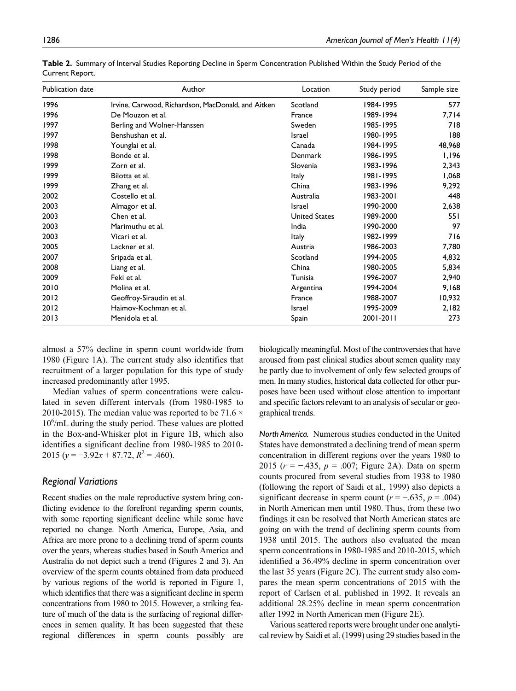| Publication date | Author                                             | Location             | Study period | Sample size |
|------------------|----------------------------------------------------|----------------------|--------------|-------------|
| 1996             | Irvine, Carwood, Richardson, MacDonald, and Aitken | Scotland             | 1984-1995    | 577         |
| 1996             | De Mouzon et al.                                   | France               | 1989-1994    | 7,714       |
| 1997             | Berling and Wolner-Hanssen                         | Sweden               | 1985-1995    | 718         |
| 1997             | Benshushan et al.                                  | Israel               | 1980-1995    | 188         |
| 1998             | Younglai et al.                                    | Canada               | 1984-1995    | 48,968      |
| 1998             | Bonde et al.                                       | Denmark              | 1986-1995    | 1,196       |
| 1999             | Zorn et al.                                        | Slovenia             | 1983-1996    | 2,343       |
| 1999             | Bilotta et al.                                     | <b>Italy</b>         | 1981-1995    | 1,068       |
| 1999             | Zhang et al.                                       | China                | 1983-1996    | 9,292       |
| 2002             | Costello et al.                                    | Australia            | 1983-2001    | 448         |
| 2003             | Almagor et al.                                     | Israel               | 1990-2000    | 2,638       |
| 2003             | Chen et al.                                        | <b>United States</b> | 1989-2000    | 551         |
| 2003             | Marimuthu et al.                                   | India                | 1990-2000    | 97          |
| 2003             | Vicari et al.                                      | <b>Italy</b>         | 1982-1999    | 716         |
| 2005             | Lackner et al.                                     | Austria              | 1986-2003    | 7,780       |
| 2007             | Sripada et al.                                     | Scotland             | 1994-2005    | 4,832       |
| 2008             | Liang et al.                                       | China                | 1980-2005    | 5,834       |
| 2009             | Feki et al.                                        | Tunisia              | 1996-2007    | 2,940       |
| 2010             | Molina et al.                                      | Argentina            | 1994-2004    | 9,168       |
| 2012             | Geoffroy-Siraudin et al.                           | France               | 1988-2007    | 10,932      |
| 2012             | Haimov-Kochman et al.                              | Israel               | 1995-2009    | 2,182       |
| 2013             | Menidola et al.                                    | Spain                | 2001-2011    | 273         |

**Table 2.** Summary of Interval Studies Reporting Decline in Sperm Concentration Published Within the Study Period of the Current Report.

almost a 57% decline in sperm count worldwide from 1980 (Figure 1A). The current study also identifies that recruitment of a larger population for this type of study increased predominantly after 1995.

Median values of sperm concentrations were calculated in seven different intervals (from 1980-1985 to 2010-2015). The median value was reported to be 71.6  $\times$ 106 /mL during the study period. These values are plotted in the Box-and-Whisker plot in Figure 1B, which also identifies a significant decline from 1980-1985 to 2010- 2015 ( $y = -3.92x + 87.72$ ,  $R^2 = .460$ ).

#### *Regional Variations*

Recent studies on the male reproductive system bring conflicting evidence to the forefront regarding sperm counts, with some reporting significant decline while some have reported no change. North America, Europe, Asia, and Africa are more prone to a declining trend of sperm counts over the years, whereas studies based in South America and Australia do not depict such a trend (Figures 2 and 3). An overview of the sperm counts obtained from data produced by various regions of the world is reported in Figure 1, which identifies that there was a significant decline in sperm concentrations from 1980 to 2015. However, a striking feature of much of the data is the surfacing of regional differences in semen quality. It has been suggested that these regional differences in sperm counts possibly are biologically meaningful. Most of the controversies that have aroused from past clinical studies about semen quality may be partly due to involvement of only few selected groups of men. In many studies, historical data collected for other purposes have been used without close attention to important and specific factors relevant to an analysis of secular or geographical trends.

*North America.* Numerous studies conducted in the United States have demonstrated a declining trend of mean sperm concentration in different regions over the years 1980 to 2015 (*r* = −.435, *p* = .007; Figure 2A). Data on sperm counts procured from several studies from 1938 to 1980 (following the report of Saidi et al., 1999) also depicts a significant decrease in sperm count  $(r = -.635, p = .004)$ in North American men until 1980. Thus, from these two findings it can be resolved that North American states are going on with the trend of declining sperm counts from 1938 until 2015. The authors also evaluated the mean sperm concentrations in 1980-1985 and 2010-2015, which identified a 36.49% decline in sperm concentration over the last 35 years (Figure 2C). The current study also compares the mean sperm concentrations of 2015 with the report of Carlsen et al. published in 1992. It reveals an additional 28.25% decline in mean sperm concentration after 1992 in North American men (Figure 2E).

Various scattered reports were brought under one analytical review by Saidi et al. (1999) using 29 studies based in the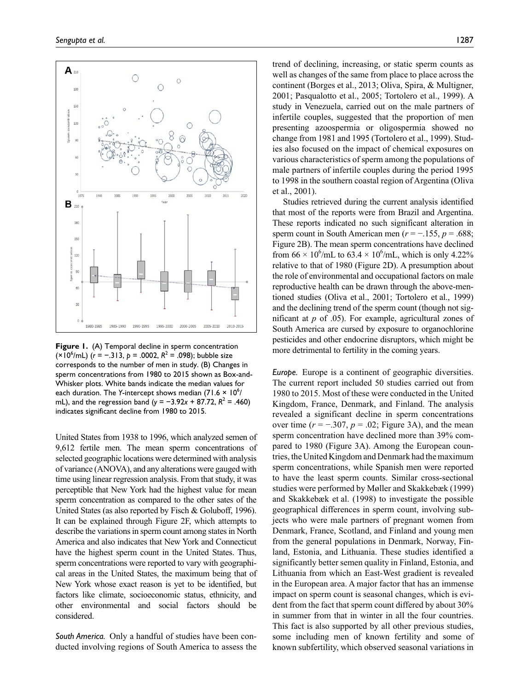

Figure 1. (A) Temporal decline in sperm concentration (×10<sup>6</sup>/mL) (*r* = −.313, *p* = .0002,  $R^2$  = .098); bubble size corresponds to the number of men in study. (B) Changes in sperm concentrations from 1980 to 2015 shown as Box-and-Whisker plots. White bands indicate the median values for each duration. The Y-intercept shows median (71.6 × 10<sup>6</sup>/ mL), and the regression band ( $y = -3.92x + 87.72$ ,  $R^2 = .460$ ) indicates significant decline from 1980 to 2015.

United States from 1938 to 1996, which analyzed semen of 9,612 fertile men. The mean sperm concentrations of selected geographic locations were determined with analysis of variance (ANOVA), and any alterations were gauged with time using linear regression analysis. From that study, it was perceptible that New York had the highest value for mean sperm concentration as compared to the other sates of the United States (as also reported by Fisch & Goluboff, 1996). It can be explained through Figure 2F, which attempts to describe the variations in sperm count among states in North America and also indicates that New York and Connecticut have the highest sperm count in the United States. Thus, sperm concentrations were reported to vary with geographical areas in the United States, the maximum being that of New York whose exact reason is yet to be identified, but factors like climate, socioeconomic status, ethnicity, and other environmental and social factors should be considered.

*South America.* Only a handful of studies have been conducted involving regions of South America to assess the trend of declining, increasing, or static sperm counts as well as changes of the same from place to place across the continent (Borges et al., 2013; Oliva, Spira, & Multigner, 2001; Pasqualotto et al., 2005; Tortolero et al., 1999). A study in Venezuela, carried out on the male partners of infertile couples, suggested that the proportion of men presenting azoospermia or oligospermia showed no change from 1981 and 1995 (Tortolero et al., 1999). Studies also focused on the impact of chemical exposures on various characteristics of sperm among the populations of male partners of infertile couples during the period 1995 to 1998 in the southern coastal region of Argentina (Oliva et al., 2001).

Studies retrieved during the current analysis identified that most of the reports were from Brazil and Argentina. These reports indicated no such significant alteration in sperm count in South American men (*r* = −.155, *p* = .688; Figure 2B). The mean sperm concentrations have declined from  $66 \times 10^6$ /mL to  $63.4 \times 10^6$ /mL, which is only 4.22% relative to that of 1980 (Figure 2D). A presumption about the role of environmental and occupational factors on male reproductive health can be drawn through the above-mentioned studies (Oliva et al., 2001; Tortolero et al., 1999) and the declining trend of the sperm count (though not significant at *p* of .05). For example, agricultural zones of South America are cursed by exposure to organochlorine pesticides and other endocrine disruptors, which might be more detrimental to fertility in the coming years.

*Europe.* Europe is a continent of geographic diversities. The current report included 50 studies carried out from 1980 to 2015. Most of these were conducted in the United Kingdom, France, Denmark, and Finland. The analysis revealed a significant decline in sperm concentrations over time  $(r = -.307, p = .02;$  Figure 3A), and the mean sperm concentration have declined more than 39% compared to 1980 (Figure 3A). Among the European countries, the United Kingdom and Denmark had the maximum sperm concentrations, while Spanish men were reported to have the least sperm counts. Similar cross-sectional studies were performed by Møller and Skakkebæk (1999) and Skakkebæk et al. (1998) to investigate the possible geographical differences in sperm count, involving subjects who were male partners of pregnant women from Denmark, France, Scotland, and Finland and young men from the general populations in Denmark, Norway, Finland, Estonia, and Lithuania. These studies identified a significantly better semen quality in Finland, Estonia, and Lithuania from which an East-West gradient is revealed in the European area. A major factor that has an immense impact on sperm count is seasonal changes, which is evident from the fact that sperm count differed by about 30% in summer from that in winter in all the four countries. This fact is also supported by all other previous studies, some including men of known fertility and some of known subfertility, which observed seasonal variations in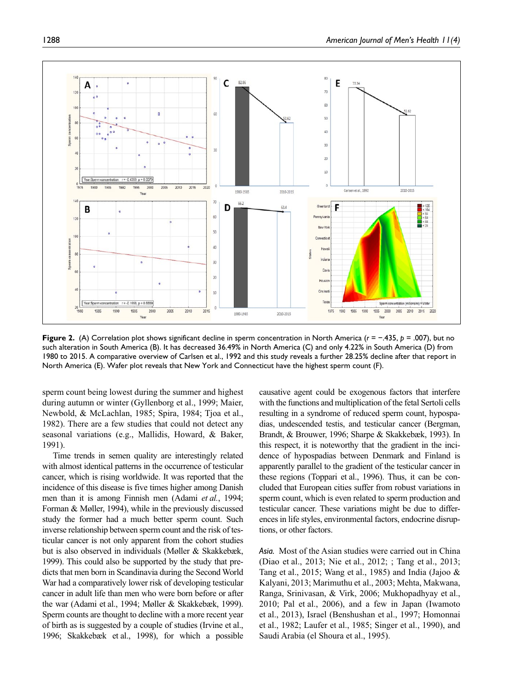

**Figure 2.** (A) Correlation plot shows significant decline in sperm concentration in North America (*r* = −.435, *p* = .007), but no such alteration in South America (B). It has decreased 36.49% in North America (C) and only 4.22% in South America (D) from 1980 to 2015. A comparative overview of Carlsen et al., 1992 and this study reveals a further 28.25% decline after that report in North America (E). Wafer plot reveals that New York and Connecticut have the highest sperm count (F).

sperm count being lowest during the summer and highest during autumn or winter (Gyllenborg et al., 1999; Maier, Newbold, & McLachlan, 1985; Spira, 1984; Tjoa et al., 1982). There are a few studies that could not detect any seasonal variations (e.g., Mallidis, Howard, & Baker, 1991).

Time trends in semen quality are interestingly related with almost identical patterns in the occurrence of testicular cancer, which is rising worldwide. It was reported that the incidence of this disease is five times higher among Danish men than it is among Finnish men (Adami *et al.*, 1994; Forman & Møller, 1994), while in the previously discussed study the former had a much better sperm count. Such inverse relationship between sperm count and the risk of testicular cancer is not only apparent from the cohort studies but is also observed in individuals (Møller & Skakkebæk, 1999). This could also be supported by the study that predicts that men born in Scandinavia during the Second World War had a comparatively lower risk of developing testicular cancer in adult life than men who were born before or after the war (Adami et al., 1994; Møller & Skakkebæk, 1999). Sperm counts are thought to decline with a more recent year of birth as is suggested by a couple of studies (Irvine et al., 1996; Skakkebæk et al., 1998), for which a possible causative agent could be exogenous factors that interfere with the functions and multiplication of the fetal Sertoli cells resulting in a syndrome of reduced sperm count, hypospadias, undescended testis, and testicular cancer (Bergman, Brandt, & Brouwer, 1996; Sharpe & Skakkebæk, 1993). In this respect, it is noteworthy that the gradient in the incidence of hypospadias between Denmark and Finland is apparently parallel to the gradient of the testicular cancer in these regions (Toppari et al., 1996). Thus, it can be concluded that European cities suffer from robust variations in sperm count, which is even related to sperm production and testicular cancer. These variations might be due to differences in life styles, environmental factors, endocrine disruptions, or other factors.

*Asia.* Most of the Asian studies were carried out in China (Diao et al., 2013; Nie et al., 2012; ; Tang et al., 2013; Tang et al., 2015; Wang et al., 1985) and India (Jajoo & Kalyani, 2013; Marimuthu et al., 2003; Mehta, Makwana, Ranga, Srinivasan, & Virk, 2006; Mukhopadhyay et al., 2010; Pal et al., 2006), and a few in Japan (Iwamoto et al., 2013), Israel (Benshushan et al., 1997; Homonnai et al., 1982; Laufer et al., 1985; Singer et al., 1990), and Saudi Arabia (el Shoura et al., 1995).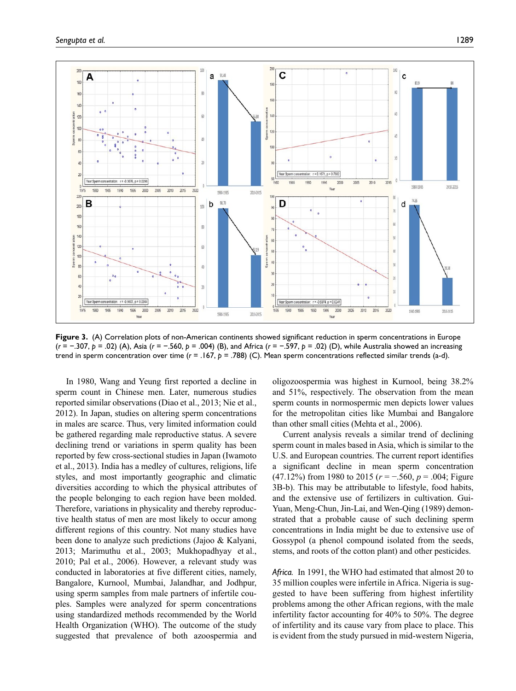

**Figure 3.** (A) Correlation plots of non-American continents showed significant reduction in sperm concentrations in Europe (*r* = −.307, *p* = .02) (A), Asia (*r* = −.560, *p* = .004) (B), and Africa (*r* = −.597, *p* = .02) (D), while Australia showed an increasing trend in sperm concentration over time ( $r = .167$ ,  $p = .788$ ) (C). Mean sperm concentrations reflected similar trends (a-d).

In 1980, Wang and Yeung first reported a decline in sperm count in Chinese men. Later, numerous studies reported similar observations (Diao et al., 2013; Nie et al., 2012). In Japan, studies on altering sperm concentrations in males are scarce. Thus, very limited information could be gathered regarding male reproductive status. A severe declining trend or variations in sperm quality has been reported by few cross-sectional studies in Japan (Iwamoto et al., 2013). India has a medley of cultures, religions, life styles, and most importantly geographic and climatic diversities according to which the physical attributes of the people belonging to each region have been molded. Therefore, variations in physicality and thereby reproductive health status of men are most likely to occur among different regions of this country. Not many studies have been done to analyze such predictions (Jajoo & Kalyani, 2013; Marimuthu et al., 2003; Mukhopadhyay et al., 2010; Pal et al., 2006). However, a relevant study was conducted in laboratories at five different cities, namely, Bangalore, Kurnool, Mumbai, Jalandhar, and Jodhpur, using sperm samples from male partners of infertile couples. Samples were analyzed for sperm concentrations using standardized methods recommended by the World Health Organization (WHO). The outcome of the study suggested that prevalence of both azoospermia and

oligozoospermia was highest in Kurnool, being 38.2% and 51%, respectively. The observation from the mean sperm counts in normospermic men depicts lower values for the metropolitan cities like Mumbai and Bangalore than other small cities (Mehta et al., 2006).

Current analysis reveals a similar trend of declining sperm count in males based in Asia, which is similar to the U.S. and European countries. The current report identifies a significant decline in mean sperm concentration (47.12%) from 1980 to 2015 (*r* = −.560, *p* = .004; Figure 3B-b). This may be attributable to lifestyle, food habits, and the extensive use of fertilizers in cultivation. Gui-Yuan, Meng-Chun, Jin-Lai, and Wen-Qing (1989) demonstrated that a probable cause of such declining sperm concentrations in India might be due to extensive use of Gossypol (a phenol compound isolated from the seeds, stems, and roots of the cotton plant) and other pesticides.

*Africa.* In 1991, the WHO had estimated that almost 20 to 35 million couples were infertile in Africa. Nigeria is suggested to have been suffering from highest infertility problems among the other African regions, with the male infertility factor accounting for 40% to 50%. The degree of infertility and its cause vary from place to place. This is evident from the study pursued in mid-western Nigeria,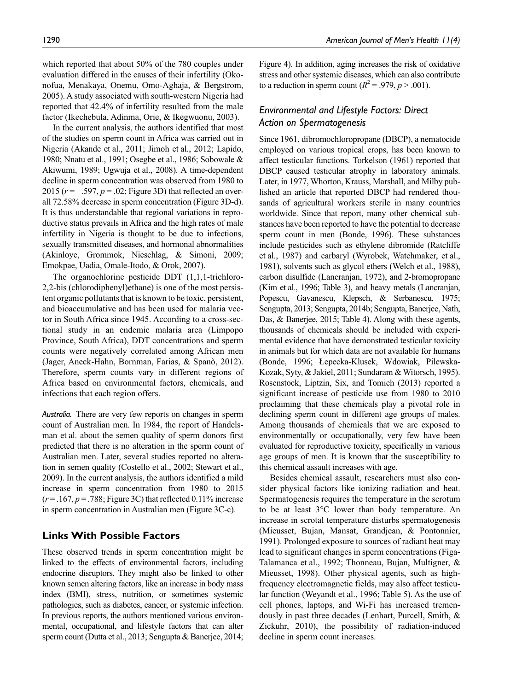which reported that about 50% of the 780 couples under evaluation differed in the causes of their infertility (Okonofua, Menakaya, Onemu, Omo-Aghaja, & Bergstrom, 2005). A study associated with south-western Nigeria had reported that 42.4% of infertility resulted from the male factor (Ikechebula, Adinma, Orie, & Ikegwuonu, 2003).

In the current analysis, the authors identified that most of the studies on sperm count in Africa was carried out in Nigeria (Akande et al., 2011; Jimoh et al., 2012; Lapido, 1980; Nnatu et al., 1991; Osegbe et al., 1986; Sobowale & Akiwumi, 1989; Ugwuja et al., 2008). A time-dependent decline in sperm concentration was observed from 1980 to 2015 (*r* = −.597, *p* = .02; Figure 3D) that reflected an overall 72.58% decrease in sperm concentration (Figure 3D-d). It is thus understandable that regional variations in reproductive status prevails in Africa and the high rates of male infertility in Nigeria is thought to be due to infections, sexually transmitted diseases, and hormonal abnormalities (Akinloye, Grommok, Nieschlag, & Simoni, 2009; Emokpae, Uadia, Omale-Itodo, & Orok, 2007).

The organochlorine pesticide DDT (1,1,1-trichloro-2,2-bis (chlorodiphenyl)ethane) is one of the most persistent organic pollutants that is known to be toxic, persistent, and bioaccumulative and has been used for malaria vector in South Africa since 1945. According to a cross-sectional study in an endemic malaria area (Limpopo Province, South Africa), DDT concentrations and sperm counts were negatively correlated among African men (Jager, Aneck-Hahn, Bornman, Farias, & Spanò, 2012). Therefore, sperm counts vary in different regions of Africa based on environmental factors, chemicals, and infections that each region offers.

*Australia.* There are very few reports on changes in sperm count of Australian men. In 1984, the report of Handelsman et al. about the semen quality of sperm donors first predicted that there is no alteration in the sperm count of Australian men. Later, several studies reported no alteration in semen quality (Costello et al., 2002; Stewart et al., 2009). In the current analysis, the authors identified a mild increase in sperm concentration from 1980 to 2015  $(r=.167, p=.788;$  Figure 3C) that reflected 0.11% increase in sperm concentration in Australian men (Figure 3C-c).

# **Links With Possible Factors**

These observed trends in sperm concentration might be linked to the effects of environmental factors, including endocrine disruptors. They might also be linked to other known semen altering factors, like an increase in body mass index (BMI), stress, nutrition, or sometimes systemic pathologies, such as diabetes, cancer, or systemic infection. In previous reports, the authors mentioned various environmental, occupational, and lifestyle factors that can alter sperm count (Dutta et al., 2013; Sengupta & Banerjee, 2014; Figure 4). In addition, aging increases the risk of oxidative stress and other systemic diseases, which can also contribute to a reduction in sperm count  $(R^2 = .979, p > .001)$ .

# *Environmental and Lifestyle Factors: Direct Action on Spermatogenesis*

Since 1961, dibromochloropropane (DBCP), a nematocide employed on various tropical crops, has been known to affect testicular functions. Torkelson (1961) reported that DBCP caused testicular atrophy in laboratory animals. Later, in 1977, Whorton, Krauss, Marshall, and Milby published an article that reported DBCP had rendered thousands of agricultural workers sterile in many countries worldwide. Since that report, many other chemical substances have been reported to have the potential to decrease sperm count in men (Bonde, 1996). These substances include pesticides such as ethylene dibromide (Ratcliffe et al., 1987) and carbaryl (Wyrobek, Watchmaker, et al., 1981), solvents such as glycol ethers (Welch et al., 1988), carbon disulfide (Lancranjan, 1972), and 2-bromopropane (Kim et al., 1996; Table 3), and heavy metals (Lancranjan, Popescu, Gavanescu, Klepsch, & Serbanescu, 1975; Sengupta, 2013; Sengupta, 2014b; Sengupta, Banerjee, Nath, Das, & Banerjee, 2015; Table 4). Along with these agents, thousands of chemicals should be included with experimental evidence that have demonstrated testicular toxicity in animals but for which data are not available for humans (Bonde, 1996; Łepecka-Klusek, Wdowiak, Pilewska-Kozak, Syty, & Jakiel, 2011; Sundaram & Witorsch, 1995). Rosenstock, Liptzin, Six, and Tomich (2013) reported a significant increase of pesticide use from 1980 to 2010 proclaiming that these chemicals play a pivotal role in declining sperm count in different age groups of males. Among thousands of chemicals that we are exposed to environmentally or occupationally, very few have been evaluated for reproductive toxicity, specifically in various age groups of men. It is known that the susceptibility to this chemical assault increases with age.

Besides chemical assault, researchers must also consider physical factors like ionizing radiation and heat. Spermatogenesis requires the temperature in the scrotum to be at least 3°C lower than body temperature. An increase in scrotal temperature disturbs spermatogenesis (Mieusset, Bujan, Mansat, Grandjean, & Pontonnier, 1991). Prolonged exposure to sources of radiant heat may lead to significant changes in sperm concentrations (Figa-Talamanca et al., 1992; Thonneau, Bujan, Multigner, & Mieusset, 1998). Other physical agents, such as highfrequency electromagnetic fields, may also affect testicular function (Weyandt et al., 1996; Table 5). As the use of cell phones, laptops, and Wi-Fi has increased tremendously in past three decades (Lenhart, Purcell, Smith, & Zickuhr, 2010), the possibility of radiation-induced decline in sperm count increases.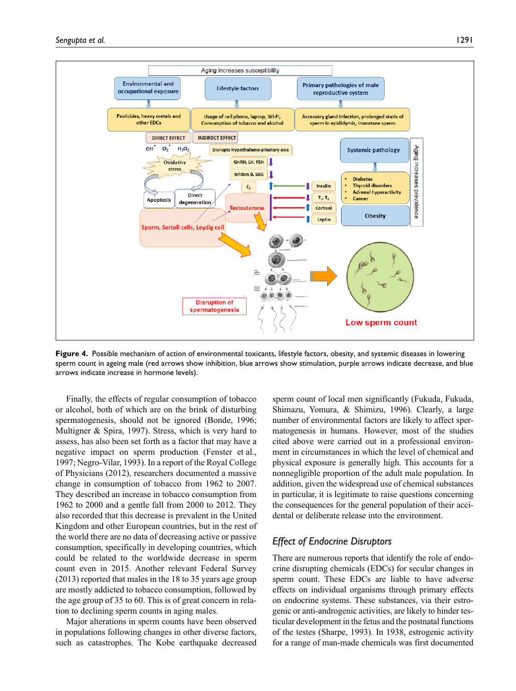

**Figure 4.** Possible mechanism of action of environmental toxicants, lifestyle factors, obesity, and systemic diseases in lowering sperm count in ageing male (red arrows show inhibition, blue arrows show stimulation, purple arrows indicate decrease, and blue arrows indicate increase in hormone levels).

Finally, the effects of regular consumption of tobacco or alcohol, both of which are on the brink of disturbing spermatogenesis, should not be ignored (Bonde, 1996; Multigner & Spira, 1997). Stress, which is very hard to assess, has also been set forth as a factor that may have a negative impact on sperm production (Fenster et al., 1997; Negro-Vilar, 1993). In a report of the Royal College of Physicians (2012), researchers documented a massive change in consumption of tobacco from 1962 to 2007. They described an increase in tobacco consumption from 1962 to 2000 and a gentle fall from 2000 to 2012. They also recorded that this decrease is prevalent in the United Kingdom and other European countries, but in the rest of the world there are no data of decreasing active or passive consumption, specifically in developing countries, which could be related to the worldwide decrease in sperm count even in 2015. Another relevant Federal Survey (2013) reported that males in the 18 to 35 years age group are mostly addicted to tobacco consumption, followed by the age group of 35 to 60. This is of great concern in relation to declining sperm counts in aging males.

Major alterations in sperm counts have been observed in populations following changes in other diverse factors, such as catastrophes. The Kobe earthquake decreased sperm count of local men significantly (Fukuda, Fukuda, Shimazu, Yomura, & Shimizu, 1996). Clearly, a large number of environmental factors are likely to affect spermatogenesis in humans. However, most of the studies cited above were carried out in a professional environment in circumstances in which the level of chemical and physical exposure is generally high. This accounts for a nonnegligible proportion of the adult male population. In addition, given the widespread use of chemical substances in particular, it is legitimate to raise questions concerning the consequences for the general population of their accidental or deliberate release into the environment.

# *Effect of Endocrine Disruptors*

There are numerous reports that identify the role of endocrine disrupting chemicals (EDCs) for secular changes in sperm count. These EDCs are liable to have adverse effects on individual organisms through primary effects on endocrine systems. These substances, via their estrogenic or anti-androgenic activities, are likely to hinder testicular development in the fetus and the postnatal functions of the testes (Sharpe, 1993). In 1938, estrogenic activity for a range of man-made chemicals was first documented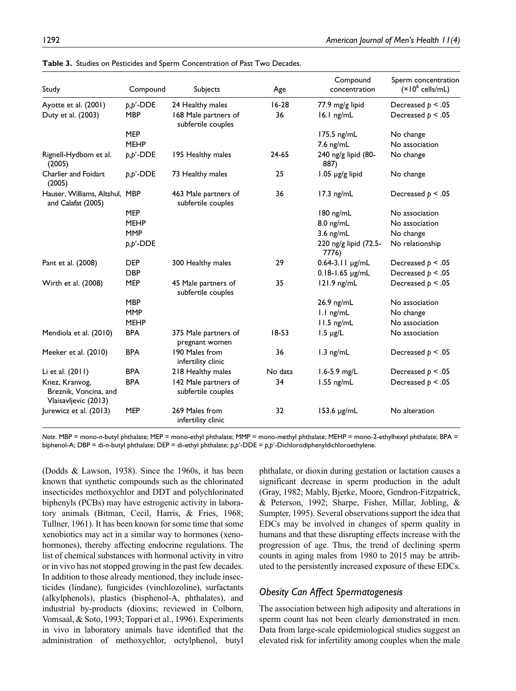| Study                                                           | Compound     | Subjects                                   | Age     | Compound<br>concentration      | Sperm concentration<br>$(x10^6 \text{ cells/mL})$ |
|-----------------------------------------------------------------|--------------|--------------------------------------------|---------|--------------------------------|---------------------------------------------------|
| Ayotte et al. (2001)                                            | $p, p'$ -DDE | 24 Healthy males                           | $16-28$ | 77.9 mg/g lipid                | Decreased $p < .05$                               |
| Duty et al. (2003)                                              | <b>MBP</b>   | 168 Male partners of<br>subfertile couples | 36      | $16.1$ ng/mL                   | Decreased $p < .05$                               |
|                                                                 | <b>MEP</b>   |                                            |         | 175.5 ng/mL                    | No change                                         |
|                                                                 | <b>MEHP</b>  |                                            |         | 7.6 ng/mL                      | No association                                    |
| Rignell-Hydbom et al.<br>(2005)                                 | $p, p'$ -DDE | 195 Healthy males                          | 24-65   | 240 ng/g lipid (80-<br>887)    | No change                                         |
| <b>Charlier and Foidart</b><br>(2005)                           | $p, p'$ -DDE | 73 Healthy males                           | 25      | $1.05$ µg/g lipid              | No change                                         |
| Hauser, Williams, Altshul, MBP<br>and Calafat (2005)            |              | 463 Male partners of<br>subfertile couples | 36      | $17.3$ ng/mL                   | Decreased $p < .05$                               |
|                                                                 | <b>MEP</b>   |                                            |         | $180$ ng/mL                    | No association                                    |
|                                                                 | <b>MEHP</b>  |                                            |         | $8.0$ ng/mL                    | No association                                    |
|                                                                 | <b>MMP</b>   |                                            |         | $3.6$ ng/mL                    | No change                                         |
|                                                                 | $p, p'$ -DDE |                                            |         | 220 ng/g lipid (72.5-<br>7776) | No relationship                                   |
| Pant et al. (2008)                                              | <b>DEP</b>   | 300 Healthy males                          | 29      | 0.64-3.11 µg/mL                | Decreased $p < .05$                               |
|                                                                 | <b>DBP</b>   |                                            |         | $0.18 - 1.65$ µg/mL            | Decreased $p < .05$                               |
| Wirth et al. (2008)                                             | <b>MEP</b>   | 45 Male partners of<br>subfertile couples  | 35      | $121.9$ ng/mL                  | Decreased $p < .05$                               |
|                                                                 | <b>MBP</b>   |                                            |         | 26.9 ng/mL                     | No association                                    |
|                                                                 | <b>MMP</b>   |                                            |         | I.I ng/mL                      | No change                                         |
|                                                                 | <b>MEHP</b>  |                                            |         | $11.5$ ng/mL                   | No association                                    |
| Mendiola et al. (2010)                                          | <b>BPA</b>   | 375 Male partners of<br>pregnant women     | $18-53$ | $1.5 \mu g/L$                  | No association                                    |
| Meeker et al. (2010)                                            | <b>BPA</b>   | 190 Males from<br>infertility clinic       | 36      | $1.3$ ng/mL                    | Decreased $p < .05$                               |
| Li et al. (2011)                                                | <b>BPA</b>   | 218 Healthy males                          | No data | $1.6 - 5.9$ mg/L               | Decreased $p < .05$                               |
| Knez, Kranvog,<br>Breznik, Voncina, and<br>Vlaisavljevic (2013) | <b>BPA</b>   | 142 Male partners of<br>subfertile couples | 34      | $1.55$ ng/mL                   | Decreased $p < .05$                               |
| Jurewicz et al. (2013)                                          | <b>MEP</b>   | 269 Males from<br>infertility clinic       | 32      | $153.6 \mu g/mL$               | No alteration                                     |

**Table 3.** Studies on Pesticides and Sperm Concentration of Past Two Decades.

*Note*. MBP = mono-*n*-butyl phthalate; MEP = mono-ethyl phthalate; MMP = mono-methyl phthalate; MEHP = mono-2-ethylhexyl phthalate; BPA = biphenol-A; DBP = di-*n*-butyl phthalate; DEP = di-ethyl phthalate; *p,p*′-DDE = *p,p*′-Dichlorodiphenyldichloroethylene.

(Dodds & Lawson, 1938). Since the 1960s, it has been known that synthetic compounds such as the chlorinated insecticides methoxychlor and DDT and polychlorinated biphenyls (PCBs) may have estrogenic activity in laboratory animals (Bitman, Cecil, Harris, & Fries, 1968; Tullner, 1961). It has been known for some time that some xenobiotics may act in a similar way to hormones (xenohormones), thereby affecting endocrine regulations. The list of chemical substances with hormonal activity in vitro or in vivo has not stopped growing in the past few decades. In addition to those already mentioned, they include insecticides (lindane), fungicides (vinchlozoline), surfactants (alkylphenols), plastics (bisphenol-A, phthalates), and industrial by-products (dioxins; reviewed in Colborn, Vomsaal, & Soto, 1993; Toppari et al., 1996). Experiments in vivo in laboratory animals have identified that the administration of methoxychlor, octylphenol, butyl

phthalate, or dioxin during gestation or lactation causes a significant decrease in sperm production in the adult (Gray, 1982; Mably, Bjerke, Moore, Gendron-Fitzpatrick, & Peterson, 1992; Sharpe, Fisher, Millar, Jobling, & Sumpter, 1995). Several observations support the idea that EDCs may be involved in changes of sperm quality in humans and that these disrupting effects increase with the progression of age. Thus, the trend of declining sperm counts in aging males from 1980 to 2015 may be attributed to the persistently increased exposure of these EDCs.

### *Obesity Can Affect Spermatogenesis*

The association between high adiposity and alterations in sperm count has not been clearly demonstrated in men. Data from large-scale epidemiological studies suggest an elevated risk for infertility among couples when the male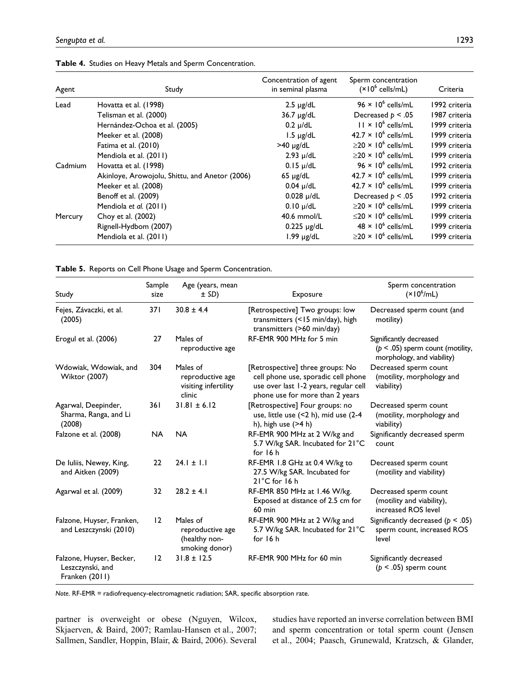| Agent   | Study                                          | Concentration of agent<br>in seminal plasma | Sperm concentration<br>$(x10^6 \text{ cells/mL})$ | Criteria      |
|---------|------------------------------------------------|---------------------------------------------|---------------------------------------------------|---------------|
| Lead    | Hovatta et al. (1998)                          | $2.5 \mu g/dL$                              | $96 \times 10^6$ cells/mL                         | 1992 criteria |
|         | Telisman et al. (2000)                         | $36.7 \mu g/dL$                             | Decreased $p < .05$                               | 1987 criteria |
|         | Hernández-Ochoa et al. (2005)                  | $0.2 \mu/dL$                                | $11 \times 10^6$ cells/mL                         | 1999 criteria |
|         | Meeker et al. (2008)                           | $1.5 \mu g/dL$                              | $42.7 \times 10^6$ cells/mL                       | 1999 criteria |
|         | Fatima et al. (2010)                           | $>40 \mu g/dL$                              | $\geq$ 20 × 10 <sup>6</sup> cells/mL              | 1999 criteria |
|         | Mendiola et al. (2011)                         | $2.93 \mu/dL$                               | $>20 \times 10^6$ cells/mL                        | 1999 criteria |
| Cadmium | Hovatta et al. (1998)                          | $0.15 \mu/dL$                               | $96 \times 10^6$ cells/mL                         | 1992 criteria |
|         | Akinloye, Arowojolu, Shittu, and Anetor (2006) | $65 \mu g/dL$                               | $42.7 \times 10^6$ cells/mL                       | 1999 criteria |
|         | Meeker et al. (2008)                           | $0.04 \mu/dL$                               | $42.7 \times 10^6$ cells/mL                       | 1999 criteria |
|         | Benoff et al. (2009)                           | $0.028 \mu/dL$                              | Decreased $p < .05$                               | 1992 criteria |
|         | Mendiola et al. (2011)                         | $0.10 \mu/dL$                               | $\geq$ 20 × 10 <sup>6</sup> cells/mL              | 1999 criteria |
| Mercury | Choy et al. (2002)                             | $40.6$ mmol/L                               | $\leq$ 20 × 10 <sup>6</sup> cells/mL              | 1999 criteria |
|         | Rignell-Hydbom (2007)                          | $0.225 \mu g/dL$                            | $48 \times 10^6$ cells/mL                         | 1999 criteria |
|         | Mendiola et al. (2011)                         | $1.99$ $\mu$ g/dL                           | $\geq$ 20 × 10 <sup>6</sup> cells/mL              | 1999 criteria |

**Table 4.** Studies on Heavy Metals and Sperm Concentration.

**Table 5.** Reports on Cell Phone Usage and Sperm Concentration.

| Study                                                          | Sample<br>size | Age (years, mean<br>$\pm$ SD)                                   | Exposure                                                                                                                                            | Sperm concentration<br>$(\times 10^6$ /mL)                                                    |
|----------------------------------------------------------------|----------------|-----------------------------------------------------------------|-----------------------------------------------------------------------------------------------------------------------------------------------------|-----------------------------------------------------------------------------------------------|
| Fejes, Závaczki, et al.<br>(2005)                              | 371            | $30.8 \pm 4.4$                                                  | [Retrospective] Two groups: low<br>transmitters (<15 min/day), high<br>transmitters (>60 min/day)                                                   | Decreased sperm count (and<br>motility)                                                       |
| Erogul et al. (2006)                                           | 27             | Males of<br>reproductive age                                    | RF-EMR 900 MHz for 5 min                                                                                                                            | Significantly decreased<br>( $p < .05$ ) sperm count (motility,<br>morphology, and viability) |
| Wdowiak, Wdowiak, and<br><b>Wiktor (2007)</b>                  | 304            | Males of<br>reproductive age<br>visiting infertility<br>clinic  | [Retrospective] three groups: No<br>cell phone use, sporadic cell phone<br>use over last 1-2 years, regular cell<br>phone use for more than 2 years | Decreased sperm count<br>(motility, morphology and<br>viability)                              |
| Agarwal, Deepinder,<br>Sharma, Ranga, and Li<br>(2008)         | 361            | $31.81 \pm 6.12$                                                | [Retrospective] Four groups: no<br>use, little use (<2 h), mid use (2-4<br>h), high use (>4 h)                                                      | Decreased sperm count<br>(motility, morphology and<br>viability)                              |
| Falzone et al. (2008)                                          | <b>NA</b>      | <b>NA</b>                                                       | RF-EMR 900 MHz at 2 W/kg and<br>5.7 W/kg SAR. Incubated for 21°C<br>for 16 h                                                                        | Significantly decreased sperm<br>count                                                        |
| De Iuliis, Newey, King,<br>and Aitken (2009)                   | 22             | $24.1 \pm 1.1$                                                  | RF-EMR 1.8 GHz at 0.4 W/kg to<br>27.5 W/kg SAR. Incubated for<br>$21^{\circ}$ C for 16 h                                                            | Decreased sperm count<br>(motility and viability)                                             |
| Agarwal et al. (2009)                                          | 32             | $28.2 \pm 4.1$                                                  | RF-EMR 850 MHz at 1.46 W/kg.<br>Exposed at distance of 2.5 cm for<br>$60$ min                                                                       | Decreased sperm count<br>(motility and viability),<br>increased ROS level                     |
| Falzone, Huyser, Franken,<br>and Leszczynski (2010)            | 12             | Males of<br>reproductive age<br>(healthy non-<br>smoking donor) | RF-EMR 900 MHz at 2 W/kg and<br>5.7 W/kg SAR. Incubated for 21°C<br>for 16 h                                                                        | Significantly decreased ( $p < .05$ )<br>sperm count, increased ROS<br>level                  |
| Falzone, Huyser, Becker,<br>Leszczynski, and<br>Franken (2011) | 12             | $31.8 \pm 12.5$                                                 | RF-EMR 900 MHz for 60 min                                                                                                                           | Significantly decreased<br>$(p < .05)$ sperm count                                            |

*Note*. RF-EMR = radiofrequency-electromagnetic radiation; SAR, specific absorption rate.

partner is overweight or obese (Nguyen, Wilcox, Skjaerven, & Baird, 2007; Ramlau-Hansen et al., 2007; Sallmen, Sandler, Hoppin, Blair, & Baird, 2006). Several

studies have reported an inverse correlation between BMI and sperm concentration or total sperm count (Jensen et al., 2004; Paasch, Grunewald, Kratzsch, & Glander,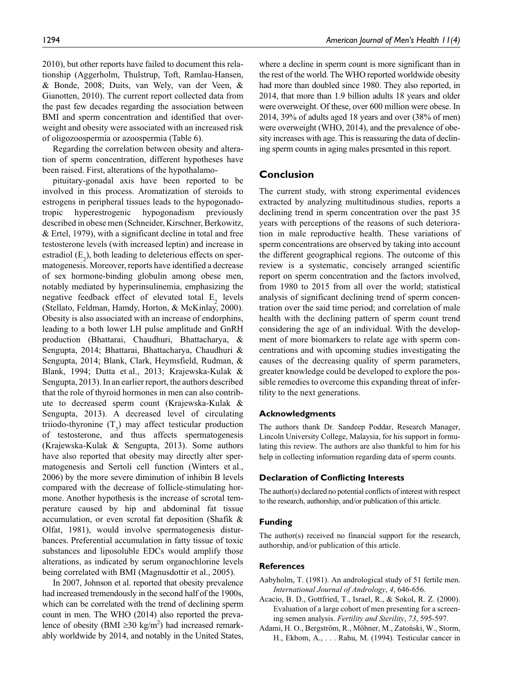2010), but other reports have failed to document this relationship (Aggerholm, Thulstrup, Toft, Ramlau-Hansen, & Bonde, 2008; Duits, van Wely, van der Veen, & Gianotten, 2010). The current report collected data from the past few decades regarding the association between BMI and sperm concentration and identified that overweight and obesity were associated with an increased risk of oligozoospermia or azoospermia (Table 6).

Regarding the correlation between obesity and alteration of sperm concentration, different hypotheses have been raised. First, alterations of the hypothalamo-

pituitary-gonadal axis have been reported to be involved in this process. Aromatization of steroids to estrogens in peripheral tissues leads to the hypogonadotropic hyperestrogenic hypogonadism previously described in obese men (Schneider, Kirschner, Berkowitz, & Ertel, 1979), with a significant decline in total and free testosterone levels (with increased leptin) and increase in estradiol  $(E_2)$ , both leading to deleterious effects on spermatogenesis. Moreover, reports have identified a decrease of sex hormone-binding globulin among obese men, notably mediated by hyperinsulinemia, emphasizing the negative feedback effect of elevated total  $E_2$  levels (Stellato, Feldman, Hamdy, Horton, & McKinlay, 2000). Obesity is also associated with an increase of endorphins, leading to a both lower LH pulse amplitude and GnRH production (Bhattarai, Chaudhuri, Bhattacharya, & Sengupta, 2014; Bhattarai, Bhattacharya, Chaudhuri & Sengupta, 2014; Blank, Clark, Heymsfield, Rudman, & Blank, 1994; Dutta et al., 2013; Krajewska-Kulak & Sengupta, 2013). In an earlier report, the authors described that the role of thyroid hormones in men can also contribute to decreased sperm count (Krajewska-Kulak & Sengupta, 2013). A decreased level of circulating triiodo-thyronine  $(T_3)$  may affect testicular production of testosterone, and thus affects spermatogenesis (Krajewska-Kulak & Sengupta, 2013). Some authors have also reported that obesity may directly alter spermatogenesis and Sertoli cell function (Winters et al., 2006) by the more severe diminution of inhibin B levels compared with the decrease of follicle-stimulating hormone. Another hypothesis is the increase of scrotal temperature caused by hip and abdominal fat tissue accumulation, or even scrotal fat deposition (Shafik & Olfat, 1981), would involve spermatogenesis disturbances. Preferential accumulation in fatty tissue of toxic substances and liposoluble EDCs would amplify those alterations, as indicated by serum organochlorine levels being correlated with BMI (Magnusdottir et al., 2005).

In 2007, Johnson et al. reported that obesity prevalence had increased tremendously in the second half of the 1900s, which can be correlated with the trend of declining sperm count in men. The WHO (2014) also reported the prevalence of obesity (BMI  $\geq$ 30 kg/m<sup>2</sup>) had increased remarkably worldwide by 2014, and notably in the United States, where a decline in sperm count is more significant than in the rest of the world. The WHO reported worldwide obesity had more than doubled since 1980. They also reported, in 2014, that more than 1.9 billion adults 18 years and older were overweight. Of these, over 600 million were obese. In 2014, 39% of adults aged 18 years and over (38% of men) were overweight (WHO, 2014), and the prevalence of obesity increases with age. This is reassuring the data of declining sperm counts in aging males presented in this report.

### **Conclusion**

The current study, with strong experimental evidences extracted by analyzing multitudinous studies, reports a declining trend in sperm concentration over the past 35 years with perceptions of the reasons of such deterioration in male reproductive health. These variations of sperm concentrations are observed by taking into account the different geographical regions. The outcome of this review is a systematic, concisely arranged scientific report on sperm concentration and the factors involved, from 1980 to 2015 from all over the world; statistical analysis of significant declining trend of sperm concentration over the said time period; and correlation of male health with the declining pattern of sperm count trend considering the age of an individual. With the development of more biomarkers to relate age with sperm concentrations and with upcoming studies investigating the causes of the decreasing quality of sperm parameters, greater knowledge could be developed to explore the possible remedies to overcome this expanding threat of infertility to the next generations.

#### **Acknowledgments**

The authors thank Dr. Sandeep Poddar, Research Manager, Lincoln University College, Malaysia, for his support in formulating this review. The authors are also thankful to him for his help in collecting information regarding data of sperm counts.

#### **Declaration of Conflicting Interests**

The author(s) declared no potential conflicts of interest with respect to the research, authorship, and/or publication of this article.

#### **Funding**

The author(s) received no financial support for the research, authorship, and/or publication of this article.

#### **References**

- Aabyholm, T. (1981). An andrological study of 51 fertile men. *International Journal of Andrology*, *4*, 646-656.
- Acacio, B. D., Gottfried, T., Israel, R., & Sokol, R. Z. (2000). Evaluation of a large cohort of men presenting for a screening semen analysis. *Fertility and Sterility*, *73*, 595-597.
- Adami, H. O., Bergström, R., Möhner, M., Zatoński, W., Storm, H., Ekbom, A., . . . Rahu, M. (1994). Testicular cancer in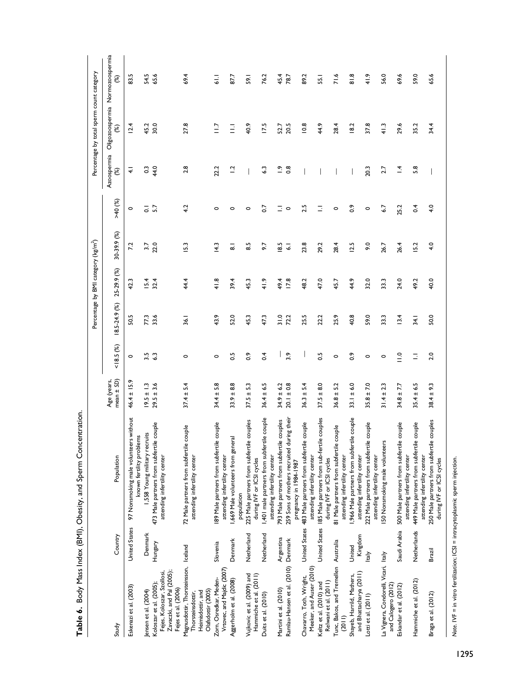|                                                                                                       |                      |                                                                                                              |                                |                   |               | Percentage by BMI category (kg/m <sup>2</sup> ) |                      |                    |                              | Percentage by total sperm count category |                                      |
|-------------------------------------------------------------------------------------------------------|----------------------|--------------------------------------------------------------------------------------------------------------|--------------------------------|-------------------|---------------|-------------------------------------------------|----------------------|--------------------|------------------------------|------------------------------------------|--------------------------------------|
| Study                                                                                                 | Country              | Population                                                                                                   | $mean \pm SD$ )<br>Age (years, | 18.5(%)           | 18.5-24.9 (%) | 25-29.9 (%)                                     | 30-39.9 (%)          | $>40$ (%)          | Azoospermia<br>$\mathcal{E}$ | 8                                        | Oligozoospermia Normozoospermia<br>8 |
| Eskenazi et al. (2003)                                                                                | <b>United States</b> | 97 Nonsmoking male volunteers without<br>known fertility problems                                            | $46.4 \pm 15.9$                | $\circ$           | 50.5          | 42.3                                            | 7.2                  | $\circ$            | $\overline{+}$               | 12.4                                     | S<br>ಙ                               |
| Jensen et al. (2004)                                                                                  | Denmark              | 1,558 Young military recruits                                                                                | $19.5 \pm 1.3$                 | $3.\overline{3}$  | 77.3          |                                                 | 27                   | $\overline{\circ}$ | $\mathbb{S}^3$               | 45.2                                     | 54.5                                 |
| Zavaczki, and Pal (2005);<br>Fejes, Koloszar, Szollosi<br>Koloszar et al. (2005);                     | Hungary              | 473 Male partners from subfertile couple<br>attending infertility center                                     | $29.5 \pm 3.6$                 |                   | 33.6          | $15.4$<br>32.4                                  | 22.0                 | $\overline{5}$     | 44.0                         | 30.0                                     | 65.6                                 |
| Magnusdottir, Thorsteinsson, Iceland<br>Fejes et al. (2006)<br>Heimisdottir, and<br>Thorsteinsdottir, |                      | 72 Male partners from subfertile couple<br>attending infertility center                                      | $37.4 \pm 5.4$                 | 0                 | 36.1          | 44.4                                            | 5.3                  | 4.2                | 2.8                          | 27.8                                     | 69.4                                 |
| Olafsdottir (2005)                                                                                    |                      |                                                                                                              |                                |                   |               |                                                 |                      |                    |                              |                                          |                                      |
| Vrtovec, and Majdic (2007)<br>Zorn, Osredkar, Meden-                                                  | Slovenia             | 189 Male partners from subfertile couple<br>attending infertility center                                     | $34.4 \pm 5.8$                 | 0                 | 43.9          | 41.8                                            | $\frac{43}{5}$       | 0                  | 22.2                         | $\frac{1}{2}$                            | $\frac{1}{6}$                        |
| Aggerholm et al. (2008)                                                                               | Denmark              | ,669 Male volunteers from general                                                                            | $33.9 \pm 8.8$                 | $\sim$            | 52.0          | 39.4                                            | ಹ                    | $\circ$            | $\overline{1}$ .             | Ξ                                        | 87.7                                 |
| Vujkovic et al. (2009) and                                                                            | Netherland           | 225 Male partners from subfertile couples<br>population                                                      | E<br>آسا<br>$37.5 \pm$         | $\ddot{\circ}$    | 45.3          | 45.3                                            | $\overline{8}$       | $\circ$            |                              | 40.9                                     | 59.1                                 |
| Hammiche et al. (2011)                                                                                |                      | during IVF or ICSI cycles                                                                                    |                                |                   |               |                                                 |                      |                    |                              |                                          |                                      |
| Duits et al. (2010)                                                                                   | Netherland           | 1,401 male partners from subfertile couple<br>attending infertility center                                   | $36.4 \pm 6.5$                 | $\overline{0}$ .4 | 47.3          | 41.9                                            | 5.6                  | $\overline{0}$     | 6.3                          | 17.5                                     | 76.2                                 |
| Martini et al. (2010)                                                                                 | Argentina            | 793 Male partners from subfertile couples                                                                    | $34.9 \pm 6.2$                 |                   | 31.0          | 49.4                                            | 8.5                  | Ξ                  | $\tilde{c}$                  | 52.7                                     | 45.4                                 |
| Ramlau-Hansen et al. (2010) Denmark                                                                   |                      | 259 Sons of mothers recruited during their<br>pregnancy in 1984-1987                                         | $20.1 \pm 0.8$                 | 3.9               | 72.2          | 17.8                                            | $\overline{\bullet}$ | $\circ$            | $\frac{8}{2}$                | 20.5                                     | 78.7                                 |
| Meeker, and Auser (2010)<br>Chavarro, Toth, Wright,                                                   |                      | United States 483 Male partners from subfertile couple<br>attending infertility center                       | $36.3 \pm 5.4$                 |                   | 25.5          | 48.2                                            | 23.8                 | 2.5                |                              | 10.8                                     | 89.2                                 |
| Relwani et al. (2011)<br>Keltz et al. (2010) and                                                      | United States        | 185 Male partners from sub-fertile couples<br>during IVF or ICSI cycles                                      | $37.5 \pm 8.0$                 | 0.5               | 22.2          | 47.0                                            | 29.2                 | Ξ                  |                              | 4.9                                      | 55.1                                 |
| Tunc, Bakos, and Tremellen Australia<br>(2011)                                                        |                      | 81 Male partners from subfertile couple<br>attending infertility center                                      | $36.8 \pm 5.2$                 | $\circ$           | 25.9          | 45.7                                            | 28.4                 | $\circ$            |                              | 28.4                                     | 71.6                                 |
| Shayeb, Harrild, Mathers,                                                                             | United               | 1,966 Male partners from subfertile couple                                                                   | $33.1 \pm 6.0$                 | $\ddot{\circ}$    | 40.8          | 44.9                                            | 12.5                 | $\frac{6}{2}$      |                              | 18.2                                     | $\frac{8}{8}$                        |
| and Bhattacharya (2011)<br>Lotti et al. (2011)                                                        | Kingdom<br>taly      | tile couple<br>222 Male partners from subfer<br>attending infertility center<br>attending infertility center | $35.8 \pm 7.0$                 | $\circ$           | 59.0          | 32.0                                            | 9.0                  | $\circ$            | 20.3                         | 37.8                                     | 41.9                                 |
| La Vignera, Condorelli, Vicari, Italy<br>and Calogero (2012)                                          |                      | 50 Nonsmoking male volunteers                                                                                | $31.4 \pm 2.3$                 | $\circ$           | 33.3          | 33.3                                            | 26.7                 | 5.7                | 2.7                          | 41.3                                     | 56.0                                 |
| Eskandar et al. (2012)                                                                                | Saudi Arabia         | 500 Male partners from subfertile couple<br>attending infertility center                                     | $34.8 \pm 7.7$                 | $\frac{1}{2}$     | 13.4          | 24.0                                            | 26.4                 | 25.2               | $\vec{=}$                    | 29.6                                     | 69.6                                 |
| Hammiche et al. (2012)                                                                                | Netherlands          | tile couple<br>449 Male partners from subfer<br>attending infertility center                                 | $35.4 \pm 6.5$                 | Ξ                 | 34.1          | 49.2                                            | 5.2                  | $\overline{0}$     | 5.8                          | 35.2                                     | 59.0                                 |
| Braga et al. (2012)                                                                                   | Brazil               | 250 Male partners from subfertile couples<br>during IVF or ICSI cycles                                       | $38.4 \pm 9.3$                 | 2.0               | 50.0          | 40.0                                            | 4.0                  | 4.0                | $\overline{\phantom{a}}$     | 34.4                                     | 65.6                                 |

Table 6. Body Mass Index (BMI), Obesity, and Sperm Concentration. **Table 6.** Body Mass Index (BMI), Obesity, and Sperm Concentration.

Note. IVF = in vitro fertilization; ICSI = intracytoplasmic sperm injection. *Note*. IVF = in vitro fertilization; ICSI = intracytoplasmic sperm injection.

 $\mathsf{I}$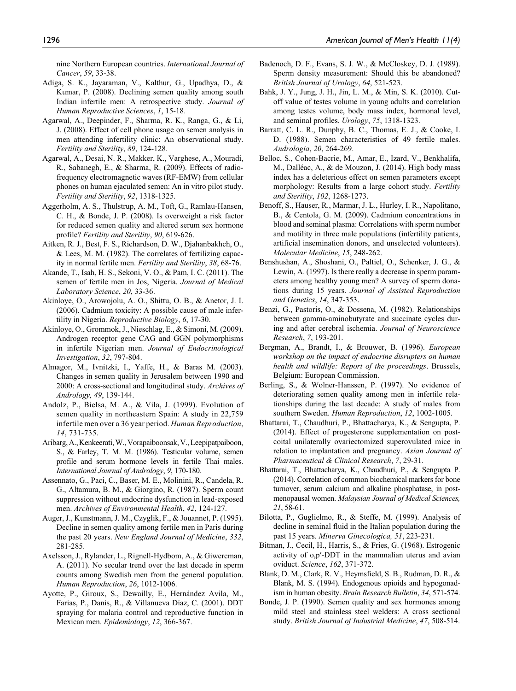nine Northern European countries. *International Journal of Cancer*, *59*, 33-38.

- Adiga, S. K., Jayaraman, V., Kalthur, G., Upadhya, D., & Kumar, P. (2008). Declining semen quality among south Indian infertile men: A retrospective study. *Journal of Human Reproductive Sciences*, *1*, 15-18.
- Agarwal, A., Deepinder, F., Sharma, R. K., Ranga, G., & Li, J. (2008). Effect of cell phone usage on semen analysis in men attending infertility clinic: An observational study. *Fertility and Sterility*, *89*, 124-128.
- Agarwal, A., Desai, N. R., Makker, K., Varghese, A., Mouradi, R., Sabanegh, E., & Sharma, R. (2009). Effects of radiofrequency electromagnetic waves (RF-EMW) from cellular phones on human ejaculated semen: An in vitro pilot study. *Fertility and Sterility*, *92*, 1318-1325.
- Aggerholm, A. S., Thulstrup, A. M., Toft, G., Ramlau-Hansen, C. H., & Bonde, J. P. (2008). Is overweight a risk factor for reduced semen quality and altered serum sex hormone profile? *Fertility and Sterility*, *90*, 619-626.
- Aitken, R. J., Best, F. S., Richardson, D. W., Djahanbakhch, O., & Lees, M. M. (1982). The correlates of fertilizing capacity in normal fertile men. *Fertility and Sterility*, *38*, 68-76.
- Akande, T., Isah, H. S., Sekoni, V. O., & Pam, I. C. (2011). The semen of fertile men in Jos, Nigeria. *Journal of Medical Laboratory Science*, *20*, 33-36.
- Akinloye, O., Arowojolu, A. O., Shittu, O. B., & Anetor, J. I. (2006). Cadmium toxicity: A possible cause of male infertility in Nigeria. *Reproductive Biology*, *6*, 17-30.
- Akinloye, O., Grommok, J., Nieschlag, E., & Simoni, M. (2009). Androgen receptor gene CAG and GGN polymorphisms in infertile Nigerian men. *Journal of Endocrinological Investigation*, *32*, 797-804.
- Almagor, M., Ivnitzki, I., Yaffe, H., & Baras M. (2003). Changes in semen quality in Jerusalem between 1990 and 2000: A cross-sectional and longitudinal study. *Archives of Andrology, 49*, 139-144.
- Andolz, P., Bielsa, M. A., & Vila, J. (1999). Evolution of semen quality in northeastern Spain: A study in 22,759 infertile men over a 36 year period. *Human Reproduction*, *14*, 731-735.
- Aribarg, A., Kenkeerati, W., Vorapaiboonsak, V., Leepipatpaiboon, S., & Farley, T. M. M. (1986). Testicular volume, semen profile and serum hormone levels in fertile Thai males. *International Journal of Andrology*, *9*, 170-180.
- Assennato, G., Paci, C., Baser, M. E., Molinini, R., Candela, R. G., Altamura, B. M., & Giorgino, R. (1987). Sperm count suppression without endocrine dysfunction in lead-exposed men. *Archives of Environmental Health*, *42*, 124-127.
- Auger, J., Kunstmann, J. M., Czyglik, F., & Jouannet, P. (1995). Decline in semen quality among fertile men in Paris during the past 20 years. *New England Journal of Medicine*, *332*, 281-285.
- Axelsson, J., Rylander, L., Rignell-Hydbom, A., & Giwercman, A. (2011). No secular trend over the last decade in sperm counts among Swedish men from the general population. *Human Reproduction*, *26*, 1012-1006.
- Ayotte, P., Giroux, S., Dewailly, E., Hernández Avila, M., Farias, P., Danis, R., & Villanueva Díaz, C. (2001). DDT spraying for malaria control and reproductive function in Mexican men. *Epidemiology*, *12*, 366-367.
- Badenoch, D. F., Evans, S. J. W., & McCloskey, D. J. (1989). Sperm density measurement: Should this be abandoned? *British Journal of Urology*, *64*, 521-523.
- Bahk, J. Y., Jung, J. H., Jin, L. M., & Min, S. K. (2010). Cutoff value of testes volume in young adults and correlation among testes volume, body mass index, hormonal level, and seminal profiles. *Urology*, *75*, 1318-1323.
- Barratt, C. L. R., Dunphy, B. C., Thomas, E. J., & Cooke, I. D. (1988). Semen characteristics of 49 fertile males. *Andrologia*, *20*, 264-269.
- Belloc, S., Cohen-Bacrie, M., Amar, E., Izard, V., Benkhalifa, M., Dalléac, A., & de Mouzon, J. (2014). High body mass index has a deleterious effect on semen parameters except morphology: Results from a large cohort study. *Fertility and Sterility*, *102*, 1268-1273.
- Benoff, S., Hauser, R., Marmar, J. L., Hurley, I. R., Napolitano, B., & Centola, G. M. (2009). Cadmium concentrations in blood and seminal plasma: Correlations with sperm number and motility in three male populations (infertility patients, artificial insemination donors, and unselected volunteers). *Molecular Medicine*, *15*, 248-262.
- Benshushan, A., Shoshani, O., Paltiel, O., Schenker, J. G., & Lewin, A. (1997). Is there really a decrease in sperm parameters among healthy young men? A survey of sperm donations during 15 years. *Journal of Assisted Reproduction and Genetics*, *14*, 347-353.
- Benzi, G., Pastoris, O., & Dossena, M. (1982). Relationships between gamma-aminobutyrate and succinate cycles during and after cerebral ischemia. *Journal of Neuroscience Research*, *7*, 193-201.
- Bergman, A., Brandt, I., & Brouwer, B. (1996). *European workshop on the impact of endocrine disrupters on human health and wildlife: Report of the proceedings*. Brussels, Belgium: European Commission.
- Berling, S., & Wolner-Hanssen, P. (1997). No evidence of deteriorating semen quality among men in infertile relationships during the last decade: A study of males from southern Sweden. *Human Reproduction*, *12*, 1002-1005.
- Bhattarai, T., Chaudhuri, P., Bhattacharya, K., & Sengupta, P. (2014). Effect of progesterone supplementation on postcoital unilaterally ovariectomized superovulated mice in relation to implantation and pregnancy. *Asian Journal of Pharmaceutical & Clinical Research*, *7*, 29-31.
- Bhattarai, T., Bhattacharya, K., Chaudhuri, P., & Sengupta P. (2014). Correlation of common biochemical markers for bone turnover, serum calcium and alkaline phosphatase, in postmenopausal women. *Malaysian Journal of Medical Sciences, 21*, 58-61.
- Bilotta, P., Guglielmo, R., & Steffe, M. (1999). Analysis of decline in seminal fluid in the Italian population during the past 15 years. *Minerva Ginecologica, 51*, 223-231.
- Bitman, J., Cecil, H., Harris, S., & Fries, G. (1968). Estrogenic activity of o,p′-DDT in the mammalian uterus and avian oviduct. *Science*, *162*, 371-372.
- Blank, D. M., Clark, R. V., Heymsfield, S. B., Rudman, D. R., & Blank, M. S. (1994). Endogenous opioids and hypogonadism in human obesity. *Brain Research Bulletin*, *34*, 571-574.
- Bonde, J. P. (1990). Semen quality and sex hormones among mild steel and stainless steel welders: A cross sectional study. *British Journal of Industrial Medicine*, *47*, 508-514.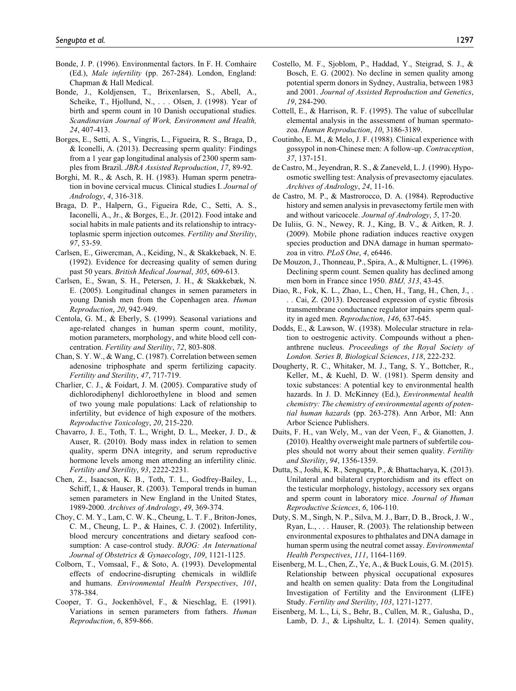- Bonde, J. P. (1996). Environmental factors. In F. H. Comhaire (Ed.), *Male infertility* (pp. 267-284). London, England: Chapman & Hall Medical.
- Bonde, J., Koldjensen, T., Brixenlarsen, S., Abell, A., Scheike, T., Hjollund, N., . . . Olsen, J. (1998). Year of birth and sperm count in 10 Danish occupational studies. *Scandinavian Journal of Work, Environment and Health, 24*, 407-413.
- Borges, E., Setti, A. S., Vingris, L., Figueira, R. S., Braga, D., & Iconelli, A. (2013). Decreasing sperm quality: Findings from a 1 year gap longitudinal analysis of 2300 sperm samples from Brazil. *JBRA Assisted Reproduction*, *17*, 89-92.
- Borghi, M. R., & Asch, R. H. (1983). Human sperm penetration in bovine cervical mucus. Clinical studies I. *Journal of Andrology*, *4*, 316-318.
- Braga, D. P., Halpern, G., Figueira Rde, C., Setti, A. S., Iaconelli, A., Jr., & Borges, E., Jr. (2012). Food intake and social habits in male patients and its relationship to intracytoplasmic sperm injection outcomes. *Fertility and Sterility*, *97*, 53-59.
- Carlsen, E., Giwercman, A., Keiding, N., & Skakkebaek, N. E. (1992). Evidence for decreasing quality of semen during past 50 years. *British Medical Journal*, *305*, 609-613.
- Carlsen, E., Swan, S. H., Petersen, J. H., & Skakkebæk, N. E. (2005). Longitudinal changes in semen parameters in young Danish men from the Copenhagen area. *Human Reproduction*, *20*, 942-949.
- Centola, G. M., & Eberly, S. (1999). Seasonal variations and age-related changes in human sperm count, motility, motion parameters, morphology, and white blood cell concentration. *Fertility and Sterility*, *72*, 803-808.
- Chan, S. Y. W., & Wang, C. (1987). Correlation between semen adenosine triphosphate and sperm fertilizing capacity. *Fertility and Sterility*, *47*, 717-719.
- Charlier, C. J., & Foidart, J. M. (2005). Comparative study of dichlorodiphenyl dichloroethylene in blood and semen of two young male populations: Lack of relationship to infertility, but evidence of high exposure of the mothers. *Reproductive Toxicology*, *20*, 215-220.
- Chavarro, J. E., Toth, T. L., Wright, D. L., Meeker, J. D., & Auser, R. (2010). Body mass index in relation to semen quality, sperm DNA integrity, and serum reproductive hormone levels among men attending an infertility clinic. *Fertility and Sterility*, *93*, 2222-2231.
- Chen, Z., Isaacson, K. B., Toth, T. L., Godfrey-Bailey, L., Schiff, I., & Hauser, R. (2003). Temporal trends in human semen parameters in New England in the United States, 1989-2000. *Archives of Andrology*, *49*, 369-374.
- Choy, C. M. Y., Lam, C. W. K., Cheung, L. T. F., Briton-Jones, C. M., Cheung, L. P., & Haines, C. J. (2002). Infertility, blood mercury concentrations and dietary seafood consumption: A case-control study. *BJOG: An International Journal of Obstetrics & Gynaecology*, *109*, 1121-1125.
- Colborn, T., Vomsaal, F., & Soto, A. (1993). Developmental effects of endocrine-disrupting chemicals in wildlife and humans. *Environmental Health Perspectives*, *101*, 378-384.
- Cooper, T. G., Jockenhövel, F., & Nieschlag, E. (1991). Variations in semen parameters from fathers. *Human Reproduction*, *6*, 859-866.
- Costello, M. F., Sjoblom, P., Haddad, Y., Steigrad, S. J., & Bosch, E. G. (2002). No decline in semen quality among potential sperm donors in Sydney, Australia, between 1983 and 2001. *Journal of Assisted Reproduction and Genetics*, *19*, 284-290.
- Cottell, E., & Harrison, R. F. (1995). The value of subcellular elemental analysis in the assessment of human spermatozoa. *Human Reproduction*, *10*, 3186-3189.
- Coutinho, E. M., & Melo, J. F. (1988). Clinical experience with gossypol in non-Chinese men: A follow-up. *Contraception*, *37*, 137-151.
- de Castro, M., Jeyendran, R. S., & Zaneveld, L. J. (1990). Hypoosmotic swelling test: Analysis of prevasectomy ejaculates. *Archives of Andrology*, *24*, 11-16.
- de Castro, M. P., & Mastrorocco, D. A. (1984). Reproductive history and semen analysis in prevasectomy fertile men with and without varicocele. *Journal of Andrology*, *5*, 17-20.
- De Iuliis, G. N., Newey, R. J., King, B. V., & Aitken, R. J. (2009). Mobile phone radiation induces reactive oxygen species production and DNA damage in human spermatozoa in vitro. *PLoS One*, *4*, e6446.
- De Mouzon, J., Thonneau, P., Spira, A., & Multigner, L. (1996). Declining sperm count. Semen quality has declined among men born in France since 1950. *BMJ, 313*, 43-45.
- Diao, R., Fok, K. L., Zhao, L., Chen, H., Tang, H., Chen, J., . . . Cai, Z. (2013). Decreased expression of cystic fibrosis transmembrane conductance regulator impairs sperm quality in aged men. *Reproduction*, *146*, 637-645.
- Dodds, E., & Lawson, W. (1938). Molecular structure in relation to oestrogenic activity. Compounds without a phenanthrene nucleus. *Proceedings of the Royal Society of London. Series B, Biological Sciences*, *118*, 222-232.
- Dougherty, R. C., Whitaker, M. J., Tang, S. Y., Bottcher, R., Keller, M., & Kuehl, D. W. (1981). Sperm density and toxic substances: A potential key to environmental health hazards. In J. D. McKinney (Ed.), *Environmental health chemistry: The chemistry of environmental agents of potential human hazards* (pp. 263-278). Ann Arbor, MI: Ann Arbor Science Publishers.
- Duits, F. H., van Wely, M., van der Veen, F., & Gianotten, J. (2010). Healthy overweight male partners of subfertile couples should not worry about their semen quality. *Fertility and Sterility*, *94*, 1356-1359.
- Dutta, S., Joshi, K. R., Sengupta, P., & Bhattacharya, K. (2013). Unilateral and bilateral cryptorchidism and its effect on the testicular morphology, histology, accessory sex organs and sperm count in laboratory mice. *Journal of Human Reproductive Sciences*, *6*, 106-110.
- Duty, S. M., Singh, N. P., Silva, M. J., Barr, D. B., Brock, J. W., Ryan, L., . . . Hauser, R. (2003). The relationship between environmental exposures to phthalates and DNA damage in human sperm using the neutral comet assay. *Environmental Health Perspectives*, *111*, 1164-1169.
- Eisenberg, M. L., Chen, Z., Ye, A., & Buck Louis, G. M. (2015). Relationship between physical occupational exposures and health on semen quality: Data from the Longitudinal Investigation of Fertility and the Environment (LIFE) Study. *Fertility and Sterility*, *103*, 1271-1277.
- Eisenberg, M. L., Li, S., Behr, B., Cullen, M. R., Galusha, D., Lamb, D. J., & Lipshultz, L. I. (2014). Semen quality,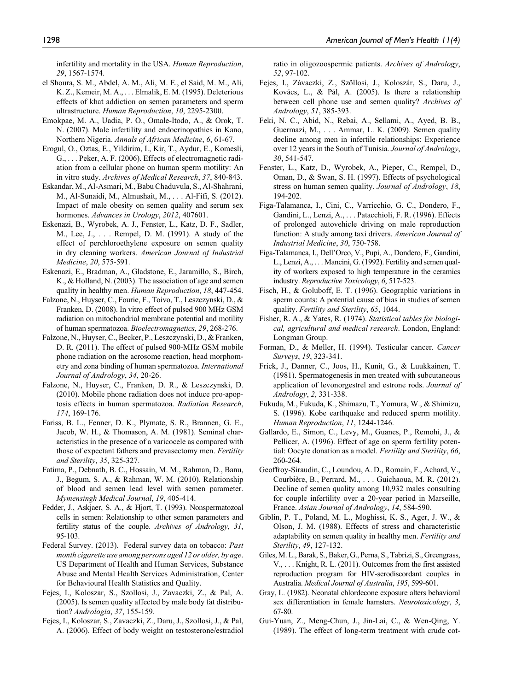infertility and mortality in the USA. *Human Reproduction*, *29*, 1567-1574.

- el Shoura, S. M., Abdel, A. M., Ali, M. E., el Said, M. M., Ali, K. Z., Kemeir, M. A., . . . Elmalik, E. M. (1995). Deleterious effects of khat addiction on semen parameters and sperm ultrastructure. *Human Reproduction*, *10*, 2295-2300.
- Emokpae, M. A., Uadia, P. O., Omale-Itodo, A., & Orok, T. N. (2007). Male infertility and endocrinopathies in Kano, Northern Nigeria. *Annals of African Medicine*, *6*, 61-67.
- Erogul, O., Oztas, E., Yildirim, I., Kir, T., Aydur, E., Komesli, G., . . . Peker, A. F. (2006). Effects of electromagnetic radiation from a cellular phone on human sperm motility: An in vitro study. *Archives of Medical Research*, *37*, 840-843.
- Eskandar, M., Al-Asmari, M., Babu Chaduvula, S., Al-Shahrani, M., Al-Sunaidi, M., Almushait, M., . . . Al-Fifi, S. (2012). Impact of male obesity on semen quality and serum sex hormones. *Advances in Urology*, *2012*, 407601.
- Eskenazi, B., Wyrobek, A. J., Fenster, L., Katz, D. F., Sadler, M., Lee, J., . . . Rempel, D. M. (1991). A study of the effect of perchloroethylene exposure on semen quality in dry cleaning workers. *American Journal of Industrial Medicine*, *20*, 575-591.
- Eskenazi, E., Bradman, A., Gladstone, E., Jaramillo, S., Birch, K., & Holland, N. (2003). The association of age and semen quality in healthy men. *Human Reproduction*, *18*, 447-454.
- Falzone, N., Huyser, C., Fourie, F., Toivo, T., Leszczynski, D., & Franken, D. (2008). In vitro effect of pulsed 900 MHz GSM radiation on mitochondrial membrane potential and motility of human spermatozoa. *Bioelectromagnetics*, *29*, 268-276.
- Falzone, N., Huyser, C., Becker, P., Leszczynski, D., & Franken, D. R. (2011). The effect of pulsed 900-MHz GSM mobile phone radiation on the acrosome reaction, head morphometry and zona binding of human spermatozoa. *International Journal of Andrology*, *34*, 20-26.
- Falzone, N., Huyser, C., Franken, D. R., & Leszczynski, D. (2010). Mobile phone radiation does not induce pro-apoptosis effects in human spermatozoa. *Radiation Research*, *174*, 169-176.
- Fariss, B. L., Fenner, D. K., Plymate, S. R., Brannen, G. E., Jacob, W. H., & Thomason, A. M. (1981). Seminal characteristics in the presence of a varicocele as compared with those of expectant fathers and prevasectomy men. *Fertility and Sterility*, *35*, 325-327.
- Fatima, P., Debnath, B. C., Hossain, M. M., Rahman, D., Banu, J., Begum, S. A., & Rahman, W. M. (2010). Relationship of blood and semen lead level with semen parameter. *Mymensingh Medical Journal*, *19*, 405-414.
- Fedder, J., Askjaer, S. A., & Hjort, T. (1993). Nonspermatozoal cells in semen: Relationship to other semen parameters and fertility status of the couple. *Archives of Andrology*, *31*, 95-103.
- Federal Survey. (2013). Federal survey data on tobacco: *Past month cigarette use among persons aged 12 or older, by age*. US Department of Health and Human Services, Substance Abuse and Mental Health Services Administration, Center for Behavioural Health Statistics and Quality.
- Fejes, I., Koloszar, S., Szollosi, J., Zavaczki, Z., & Pal, A. (2005). Is semen quality affected by male body fat distribution? *Andrologia*, *37*, 155-159.
- Fejes, I., Koloszar, S., Zavaczki, Z., Daru, J., Szollosi, J., & Pal, A. (2006). Effect of body weight on testosterone/estradiol

ratio in oligozoospermic patients. *Archives of Andrology*, *52*, 97-102.

- Fejes, I., Závaczki, Z., Szöllosi, J., Koloszár, S., Daru, J., Kovács, L., & Pál, A. (2005). Is there a relationship between cell phone use and semen quality? *Archives of Andrology*, *51*, 385-393.
- Feki, N. C., Abid, N., Rebai, A., Sellami, A., Ayed, B. B., Guermazi, M., . . . Ammar, L. K. (2009). Semen quality decline among men in infertile relationships: Experience over 12 years in the South of Tunisia. *Journal of Andrology*, *30*, 541-547.
- Fenster, L., Katz, D., Wyrobek, A., Pieper, C., Rempel, D., Oman, D., & Swan, S. H. (1997). Effects of psychological stress on human semen quality. *Journal of Andrology*, *18*, 194-202.
- Figa-Talamanca, I., Cini, C., Varricchio, G. C., Dondero, F., Gandini, L., Lenzi, A., . . . Patacchioli, F. R. (1996). Effects of prolonged autovehicle driving on male reproduction function: A study among taxi drivers. *American Journal of Industrial Medicine*, *30*, 750-758.
- Figa-Talamanca, I., Dell'Orco, V., Pupi, A., Dondero, F., Gandini, L., Lenzi, A., . . . Mancini, G. (1992). Fertility and semen quality of workers exposed to high temperature in the ceramics industry. *Reproductive Toxicology*, *6*, 517-523.
- Fisch, H., & Goluboff, E. T. (1996). Geographic variations in sperm counts: A potential cause of bias in studies of semen quality. *Fertility and Sterility*, *65*, 1044.
- Fisher, R. A., & Yates, R. (1974). *Statistical tables for biological, agricultural and medical research*. London, England: Longman Group.
- Forman, D., & Møller, H. (1994). Testicular cancer. *Cancer Surveys*, *19*, 323-341.
- Frick, J., Danner, C., Joos, H., Kunit, G., & Luukkainen, T. (1981). Spermatogenesis in men treated with subcutaneous application of levonorgestrel and estrone rods. *Journal of Andrology*, *2*, 331-338.
- Fukuda, M., Fukuda, K., Shimazu, T., Yomura, W., & Shimizu, S. (1996). Kobe earthquake and reduced sperm motility. *Human Reproduction*, *11*, 1244-1246.
- Gallardo, E., Simon, C., Levy, M., Guanes, P., Remohi, J., & Pellicer, A. (1996). Effect of age on sperm fertility potential: Oocyte donation as a model. *Fertility and Sterility*, *66*, 260-264.
- Geoffroy-Siraudin, C., Loundou, A. D., Romain, F., Achard, V., Courbière, B., Perrard, M., . . . Guichaoua, M. R. (2012). Decline of semen quality among 10,932 males consulting for couple infertility over a 20-year period in Marseille, France. *Asian Journal of Andrology*, *14*, 584-590.
- Giblin, P. T., Poland, M. L., Moghissi, K. S., Ager, J. W., & Olson, J. M. (1988). Effects of stress and characteristic adaptability on semen quality in healthy men. *Fertility and Sterility*, *49*, 127-132.
- Giles, M. L., Barak, S., Baker, G., Perna, S., Tabrizi, S., Greengrass, V., . . . Knight, R. L. (2011). Outcomes from the first assisted reproduction program for HIV-serodiscordant couples in Australia. *Medical Journal of Australia*, *195*, 599-601.
- Gray, L. (1982). Neonatal chlordecone exposure alters behavioral sex differentiation in female hamsters. *Neurotoxicology*, *3*, 67-80.
- Gui-Yuan, Z., Meng-Chun, J., Jin-Lai, C., & Wen-Qing, Y. (1989). The effect of long-term treatment with crude cot-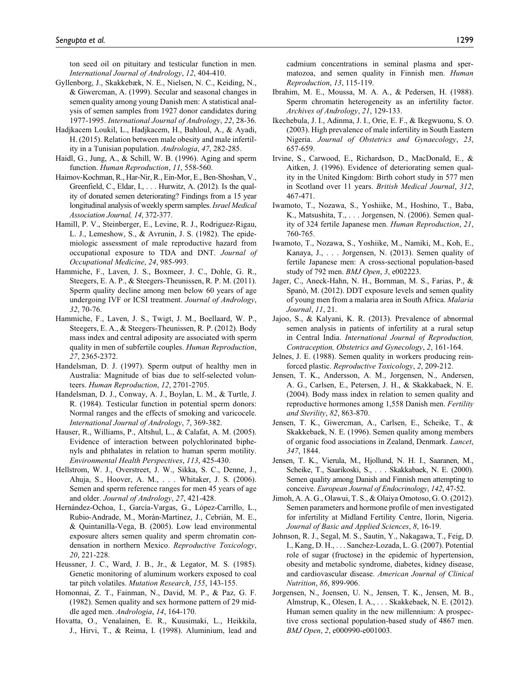ton seed oil on pituitary and testicular function in men. *International Journal of Andrology*, *12*, 404-410.

- Gyllenborg, J., Skakkebæk, N. E., Nielsen, N. C., Keiding, N., & Giwercman, A. (1999). Secular and seasonal changes in semen quality among young Danish men: A statistical analysis of semen samples from 1927 donor candidates during 1977-1995. *International Journal of Andrology*, *22*, 28-36.
- Hadjkacem Loukil, L., Hadjkacem, H., Bahloul, A., & Ayadi, H. (2015). Relation between male obesity and male infertility in a Tunisian population. *Andrologia*, *47*, 282-285.
- Haidl, G., Jung, A., & Schill, W. B. (1996). Aging and sperm function. *Human Reproduction*, *11*, 558-560.
- Haimov-Kochman, R., Har-Nir, R., Ein-Mor, E., Ben-Shoshan, V., Greenfield, C., Eldar, I., . . . Hurwitz, A. (2012). Is the quality of donated semen deteriorating? Findings from a 15 year longitudinal analysis of weekly sperm samples. *Israel Medical Association Journal, 14*, 372-377.
- Hamill, P. V., Steinberger, E., Levine, R. J., Rodriguez-Rigau, L. J., Lemeshow, S., & Avrunin, J. S. (1982). The epidemiologic assessment of male reproductive hazard from occupational exposure to TDA and DNT. *Journal of Occupational Medicine*, *24*, 985-993.
- Hammiche, F., Laven, J. S., Boxmeer, J. C., Dohle, G. R., Steegers, E. A. P., & Steegers-Theunissen, R. P. M. (2011). Sperm quality decline among men below 60 years of age undergoing IVF or ICSI treatment. *Journal of Andrology*, *32*, 70-76.
- Hammiche, F., Laven, J. S., Twigt, J. M., Boellaard, W. P., Steegers, E. A., & Steegers-Theunissen, R. P. (2012). Body mass index and central adiposity are associated with sperm quality in men of subfertile couples. *Human Reproduction*, *27*, 2365-2372.
- Handelsman, D. J. (1997). Sperm output of healthy men in Australia: Magnitude of bias due to self-selected volunteers. *Human Reproduction*, *12*, 2701-2705.
- Handelsman, D. J., Conway, A. J., Boylan, L. M., & Turtle, J. R. (1984). Testicular function in potential sperm donors: Normal ranges and the effects of smoking and varicocele. *International Journal of Andrology*, *7*, 369-382.
- Hauser, R., Williams, P., Altshul, L., & Calafat, A. M. (2005). Evidence of interaction between polychlorinated biphenyls and phthalates in relation to human sperm motility. *Environmental Health Perspectives*, *113*, 425-430.
- Hellstrom, W. J., Overstreet, J. W., Sikka, S. C., Denne, J., Ahuja, S., Hoover, A. M., . . . Whitaker, J. S. (2006). Semen and sperm reference ranges for men 45 years of age and older. *Journal of Andrology*, *27*, 421-428.
- Hernández-Ochoa, I., García-Vargas, G., López-Carrillo, L., Rubio-Andrade, M., Morán-Martínez, J., Cebrián, M. E., & Quintanilla-Vega, B. (2005). Low lead environmental exposure alters semen quality and sperm chromatin condensation in northern Mexico. *Reproductive Toxicology*, *20*, 221-228.
- Heussner, J. C., Ward, J. B., Jr., & Legator, M. S. (1985). Genetic monitoring of aluminum workers exposed to coal tar pitch volatiles. *Mutation Research*, *155*, 143-155.
- Homonnai, Z. T., Fainman, N., David, M. P., & Paz, G. F. (1982). Semen quality and sex hormone pattern of 29 middle aged men. *Andrologia*, *14*, 164-170.
- Hovatta, O., Venalainen, E. R., Kuusimaki, L., Heikkila, J., Hirvi, T., & Reima, I. (1998). Aluminium, lead and

cadmium concentrations in seminal plasma and spermatozoa, and semen quality in Finnish men. *Human Reproduction*, *13*, 115-119.

- Ibrahim, M. E., Moussa, M. A. A., & Pedersen, H. (1988). Sperm chromatin heterogeneity as an infertility factor. *Archives of Andrology*, *21*, 129-133.
- Ikechebula, J. I., Adinma, J. I., Orie, E. F., & Ikegwuonu, S. O. (2003). High prevalence of male infertility in South Eastern Nigeria. *Journal of Obstetrics and Gynaecology*, *23*, 657-659.
- Irvine, S., Carwood, E., Richardson, D., MacDonald, E., & Aitken, J. (1996). Evidence of deteriorating semen quality in the United Kingdom: Birth cohort study in 577 men in Scotland over 11 years. *British Medical Journal*, *312*, 467-471.
- Iwamoto, T., Nozawa, S., Yoshiike, M., Hoshino, T., Baba, K., Matsushita, T., . . . Jorgensen, N. (2006). Semen quality of 324 fertile Japanese men. *Human Reproduction*, *21*, 760-765.
- Iwamoto, T., Nozawa, S., Yoshiike, M., Namiki, M., Koh, E., Kanaya, J., . . . Jorgensen, N. (2013). Semen quality of fertile Japanese men: A cross-sectional population-based study of 792 men. *BMJ Open*, *3*, e002223.
- Jager, C., Aneck-Hahn, N. H., Bornman, M. S., Farias, P., & Spanò, M. (2012). DDT exposure levels and semen quality of young men from a malaria area in South Africa. *Malaria Journal*, *11*, 21.
- Jajoo, S., & Kalyani, K. R. (2013). Prevalence of abnormal semen analysis in patients of infertility at a rural setup in Central India. *International Journal of Reproduction, Contraception, Obstetrics and Gynecology*, *2*, 161-164.
- Jelnes, J. E. (1988). Semen quality in workers producing reinforced plastic. *Reproductive Toxicology*, *2*, 209-212.
- Jensen, T. K., Andersson, A. M., Jorgensen, N., Andersen, A. G., Carlsen, E., Petersen, J. H., & Skakkabaek, N. E. (2004). Body mass index in relation to semen quality and reproductive hormones among 1,558 Danish men. *Fertility and Sterility*, *82*, 863-870.
- Jensen, T. K., Giwercman, A., Carlsen, E., Scheike, T., & Skakkebaek, N. E. (1996). Semen quality among members of organic food associations in Zealand, Denmark. *Lancet*, *347*, 1844.
- Jensen, T. K., Vierula, M., Hjollund, N. H. I., Saaranen, M., Scheike, T., Saarikoski, S., . . . Skakkabaek, N. E. (2000). Semen quality among Danish and Finnish men attempting to conceive. *European Journal of Endocrinology*, *142*, 47-52.
- Jimoh, A. A. G., Olawui, T. S., & Olaiya Omotoso, G. O. (2012). Semen parameters and hormone profile of men investigated for infertility at Midland Fertility Centre, Ilorin, Nigeria. *Journal of Basic and Applied Sciences*, *8*, 16-19.
- Johnson, R. J., Segal, M. S., Sautin, Y., Nakagawa, T., Feig, D. I., Kang, D. H., . . . Sanchez-Lozada, L. G. (2007). Potential role of sugar (fructose) in the epidemic of hypertension, obesity and metabolic syndrome, diabetes, kidney disease, and cardiovascular disease. *American Journal of Clinical Nutrition*, *86*, 899-906.
- Jorgensen, N., Joensen, U. N., Jensen, T. K., Jensen, M. B., Almstrup, K., Olesen, I. A., . . . Skakkebaek, N. E. (2012). Human semen quality in the new millennium: A prospective cross sectional population-based study of 4867 men. *BMJ Open*, *2*, e000990-e001003.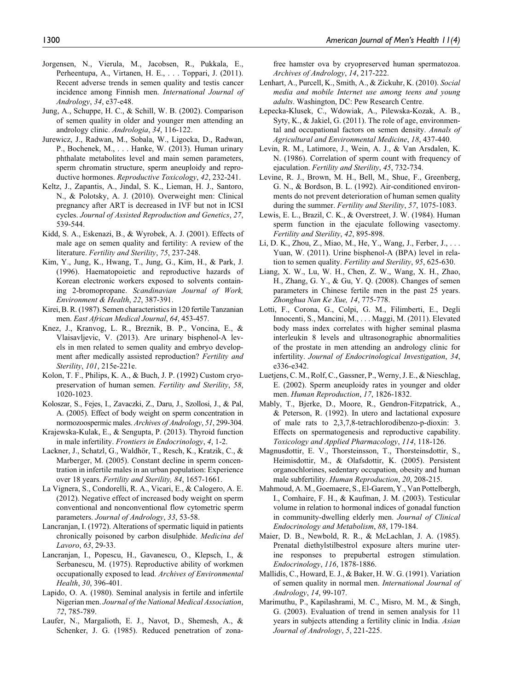- Jorgensen, N., Vierula, M., Jacobsen, R., Pukkala, E., Perheentupa, A., Virtanen, H. E., . . . Toppari, J. (2011). Recent adverse trends in semen quality and testis cancer incidence among Finnish men. *International Journal of Andrology*, *34*, e37-e48.
- Jung, A., Schuppe, H. C., & Schill, W. B. (2002). Comparison of semen quality in older and younger men attending an andrology clinic. *Andrologia*, *34*, 116-122.
- Jurewicz, J., Radwan, M., Sobala, W., Ligocka, D., Radwan, P., Bochenek, M., . . . Hanke, W. (2013). Human urinary phthalate metabolites level and main semen parameters, sperm chromatin structure, sperm aneuploidy and reproductive hormones. *Reproductive Toxicology*, *42*, 232-241.
- Keltz, J., Zapantis, A., Jindal, S. K., Lieman, H. J., Santoro, N., & Polotsky, A. J. (2010). Overweight men: Clinical pregnancy after ART is decreased in IVF but not in ICSI cycles. *Journal of Assisted Reproduction and Genetics*, *27*, 539-544.
- Kidd, S. A., Eskenazi, B., & Wyrobek, A. J. (2001). Effects of male age on semen quality and fertility: A review of the literature. *Fertility and Sterility*, *75*, 237-248.
- Kim, Y., Jung, K., Hwang, T., Jung, G., Kim, H., & Park, J. (1996). Haematopoietic and reproductive hazards of Korean electronic workers exposed to solvents containing 2-bromopropane. *Scandinavian Journal of Work, Environment & Health*, *22*, 387-391.
- Kirei, B. R. (1987). Semen characteristics in 120 fertile Tanzanian men. *East African Medical Journal*, *64*, 453-457.
- Knez, J., Kranvog, L. R., Breznik, B. P., Voncina, E., & Vlaisavljevic, V. (2013). Are urinary bisphenol-A levels in men related to semen quality and embryo development after medically assisted reproduction? *Fertility and Sterility*, *101*, 215e-221e.
- Kolon, T. F., Philips, K. A., & Buch, J. P. (1992) Custom cryopreservation of human semen. *Fertility and Sterility*, *58*, 1020-1023.
- Koloszar, S., Fejes, I., Zavaczki, Z., Daru, J., Szollosi, J., & Pal, A. (2005). Effect of body weight on sperm concentration in normozoospermic males. *Archives of Andrology*, *51*, 299-304.
- Krajewska-Kulak, E., & Sengupta, P. (2013). Thyroid function in male infertility. *Frontiers in Endocrinology*, *4*, 1-2.
- Lackner, J., Schatzl, G., Waldhör, T., Resch, K., Kratzik, C., & Marberger, M. (2005). Constant decline in sperm concentration in infertile males in an urban population: Experience over 18 years. *Fertility and Sterility, 84*, 1657-1661.
- La Vignera, S., Condorelli, R. A., Vicari, E., & Calogero, A. E. (2012). Negative effect of increased body weight on sperm conventional and nonconventional flow cytometric sperm parameters. *Journal of Andrology*, *33*, 53-58.
- Lancranjan, I. (1972). Alterations of spermatic liquid in patients chronically poisoned by carbon disulphide. *Medicina del Lavoro*, *63*, 29-33.
- Lancranjan, I., Popescu, H., Gavanescu, O., Klepsch, I., & Serbanescu, M. (1975). Reproductive ability of workmen occupationally exposed to lead. *Archives of Environmental Health*, *30*, 396-401.
- Lapido, O. A. (1980). Seminal analysis in fertile and infertile Nigerian men. *Journal of the National Medical Association*, *72*, 785-789.
- Laufer, N., Margalioth, E. J., Navot, D., Shemesh, A., & Schenker, J. G. (1985). Reduced penetration of zona-

free hamster ova by cryopreserved human spermatozoa. *Archives of Andrology*, *14*, 217-222.

- Lenhart, A., Purcell, K., Smith, A., & Zickuhr, K. (2010). *Social media and mobile Internet use among teens and young adults*. Washington, DC: Pew Research Centre.
- Łepecka-Klusek, C., Wdowiak, A., Pilewska-Kozak, A. B., Syty, K., & Jakiel, G. (2011). The role of age, environmental and occupational factors on semen density. *Annals of Agricultural and Environmental Medicine*, *18*, 437-440.
- Levin, R. M., Latimore, J., Wein, A. J., & Van Arsdalen, K. N. (1986). Correlation of sperm count with frequency of ejaculation. *Fertility and Sterility*, *45*, 732-734.
- Levine, R. J., Brown, M. H., Bell, M., Shue, F., Greenberg, G. N., & Bordson, B. L. (1992). Air-conditioned environments do not prevent deterioration of human semen quality during the summer. *Fertility and Sterility*, *57*, 1075-1083.
- Lewis, E. L., Brazil, C. K., & Overstreet, J. W. (1984). Human sperm function in the ejaculate following vasectomy. *Fertility and Sterility*, *42*, 895-898.
- Li, D. K., Zhou, Z., Miao, M., He, Y., Wang, J., Ferber, J., . . . Yuan, W. (2011). Urine bisphenol-A (BPA) level in relation to semen quality. *Fertility and Sterility*, *95*, 625-630.
- Liang, X. W., Lu, W. H., Chen, Z. W., Wang, X. H., Zhao, H., Zhang, G. Y., & Gu, Y. Q. (2008). Changes of semen parameters in Chinese fertile men in the past 25 years. *Zhonghua Nan Ke Xue, 14*, 775-778.
- Lotti, F., Corona, G., Colpi, G. M., Filimberti, E., Degli Innocenti, S., Mancini, M., . . . Maggi, M. (2011). Elevated body mass index correlates with higher seminal plasma interleukin 8 levels and ultrasonographic abnormalities of the prostate in men attending an andrology clinic for infertility. *Journal of Endocrinological Investigation*, *34*, e336-e342.
- Luetjens, C. M., Rolf, C., Gassner, P., Werny, J. E., & Nieschlag, E. (2002). Sperm aneuploidy rates in younger and older men. *Human Reproduction*, *17*, 1826-1832.
- Mably, T., Bjerke, D., Moore, R., Gendron-Fitzpatrick, A., & Peterson, R. (1992). In utero and lactational exposure of male rats to 2,3,7,8-tetrachlorodibenzo-p-dioxin: 3. Effects on spermatogenesis and reproductive capability. *Toxicology and Applied Pharmacology*, *114*, 118-126.
- Magnusdottir, E. V., Thorsteinsson, T., Thorsteinsdottir, S., Heimisdottir, M., & Olafsdottir, K. (2005). Persistent organochlorines, sedentary occupation, obesity and human male subfertility. *Human Reproduction*, *20*, 208-215.
- Mahmoud, A. M., Goemaere, S., El-Garem, Y., Van Pottelbergh, I., Comhaire, F. H., & Kaufman, J. M. (2003). Testicular volume in relation to hormonal indices of gonadal function in community-dwelling elderly men. *Journal of Clinical Endocrinology and Metabolism*, *88*, 179-184.
- Maier, D. B., Newbold, R. R., & McLachlan, J. A. (1985). Prenatal diethylstilbestrol exposure alters murine uterine responses to prepubertal estrogen stimulation. *Endocrinology*, *116*, 1878-1886.
- Mallidis, C., Howard, E. J., & Baker, H. W. G. (1991). Variation of semen quality in normal men. *International Journal of Andrology*, *14*, 99-107.
- Marimuthu, P., Kapilashrami, M. C., Misro, M. M., & Singh, G. (2003). Evaluation of trend in semen analysis for 11 years in subjects attending a fertility clinic in India. *Asian Journal of Andrology*, *5*, 221-225.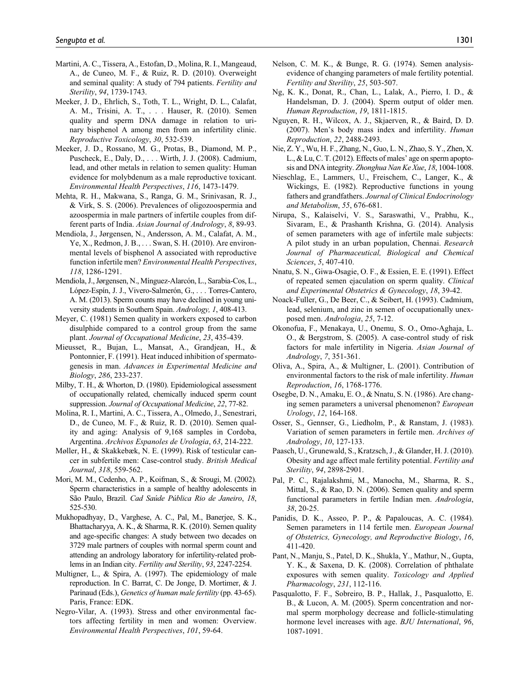- Martini, A. C., Tissera, A., Estofan, D., Molina, R. I., Mangeaud, A., de Cuneo, M. F., & Ruiz, R. D. (2010). Overweight and seminal quality: A study of 794 patients. *Fertility and Sterility*, *94*, 1739-1743.
- Meeker, J. D., Ehrlich, S., Toth, T. L., Wright, D. L., Calafat, A. M., Trisini, A. T., . . . Hauser, R. (2010). Semen quality and sperm DNA damage in relation to urinary bisphenol A among men from an infertility clinic. *Reproductive Toxicology*, *30*, 532-539.
- Meeker, J. D., Rossano, M. G., Protas, B., Diamond, M. P., Puscheck, E., Daly, D., . . . Wirth, J. J. (2008). Cadmium, lead, and other metals in relation to semen quality: Human evidence for molybdenum as a male reproductive toxicant. *Environmental Health Perspectives*, *116*, 1473-1479.
- Mehta, R. H., Makwana, S., Ranga, G. M., Srinivasan, R. J., & Virk, S. S. (2006). Prevalences of oligozoospermia and azoospermia in male partners of infertile couples from different parts of India. *Asian Journal of Andrology*, *8*, 89-93.
- Mendiola, J., Jørgensen, N., Andersson, A. M., Calafat, A. M., Ye, X., Redmon, J. B., . . . Swan, S. H. (2010). Are environmental levels of bisphenol A associated with reproductive function infertile men? *Environmental Health Perspectives*, *118*, 1286-1291.
- Mendiola, J., Jørgensen, N., Mínguez-Alarcón, L., Sarabia-Cos, L., López-Espín, J. J., Vivero-Salmerón, G., . . . Torres-Cantero, A. M. (2013). Sperm counts may have declined in young university students in Southern Spain. *Andrology, 1*, 408-413.
- Meyer, C. (1981) Semen quality in workers exposed to carbon disulphide compared to a control group from the same plant. *Journal of Occupational Medicine*, *23*, 435-439.
- Mieusset, R., Bujan, L., Mansat, A., Grandjean, H., & Pontonnier, F. (1991). Heat induced inhibition of spermatogenesis in man. *Advances in Experimental Medicine and Biology*, *286*, 233-237.
- Milby, T. H., & Whorton, D. (1980). Epidemiological assessment of occupationally related, chemically induced sperm count suppression. *Journal of Occupational Medicine*, *22*, 77-82.
- Molina, R. I., Martini, A. C., Tissera, A., Olmedo, J., Senestrari, D., de Cuneo, M. F., & Ruiz, R. D. (2010). Semen quality and aging: Analysis of 9,168 samples in Cordoba, Argentina. *Archivos Espanoles de Urologia*, *63*, 214-222.
- Møller, H., & Skakkebæk, N. E. (1999). Risk of testicular cancer in subfertile men: Case-control study. *British Medical Journal*, *318*, 559-562.
- Mori, M. M., Cedenho, A. P., Koifman, S., & Srougi, M. (2002). Sperm characteristics in a sample of healthy adolescents in São Paulo, Brazil. *Cad Saúde Pública Rio de Janeiro*, *18*, 525-530.
- Mukhopadhyay, D., Varghese, A. C., Pal, M., Banerjee, S. K., Bhattacharyya, A. K., & Sharma, R. K. (2010). Semen quality and age-specific changes: A study between two decades on 3729 male partners of couples with normal sperm count and attending an andrology laboratory for infertility-related problems in an Indian city. *Fertility and Sterility*, *93*, 2247-2254.
- Multigner, L., & Spira, A. (1997). The epidemiology of male reproduction. In C. Barrat, C. De Jonge, D. Mortimer, & J. Parinaud (Eds.), *Genetics of human male fertility* (pp. 43-65). Paris, France: EDK.
- Negro-Vilar, A. (1993). Stress and other environmental factors affecting fertility in men and women: Overview. *Environmental Health Perspectives*, *101*, 59-64.
- Nelson, C. M. K., & Bunge, R. G. (1974). Semen analysisevidence of changing parameters of male fertility potential. *Fertility and Sterility*, *25*, 503-507.
- Ng, K. K., Donat, R., Chan, L., Lalak, A., Pierro, I. D., & Handelsman, D. J. (2004). Sperm output of older men. *Human Reproduction*, *19*, 1811-1815.
- Nguyen, R. H., Wilcox, A. J., Skjaerven, R., & Baird, D. D. (2007). Men's body mass index and infertility. *Human Reproduction*, *22*, 2488-2493.
- Nie, Z. Y., Wu, H. F., Zhang, N., Guo, L. N., Zhao, S. Y., Zhen, X. L., & Lu, C. T. (2012). Effects of males' age on sperm apoptosis and DNA integrity. *Zhonghua Nan Ke Xue*, *18*, 1004-1008.
- Nieschlag, E., Lammers, U., Freischem, C., Langer, K., & Wickings, E. (1982). Reproductive functions in young fathers and grandfathers. *Journal of Clinical Endocrinology and Metabolism*, *55*, 676-681.
- Nirupa, S., Kalaiselvi, V. S., Saraswathi, V., Prabhu, K., Sivaram, E., & Prashanth Krishna, G. (2014). Analysis of semen parameters with age of infertile male subjects: A pilot study in an urban population, Chennai. *Research Journal of Pharmaceutical, Biological and Chemical Sciences*, *5*, 407-410.
- Nnatu, S. N., Giwa-Osagie, O. F., & Essien, E. E. (1991). Effect of repeated semen ejaculation on sperm quality. *Clinical and Experimental Obstetrics & Gynecology*, *18*, 39-42.
- Noack-Fuller, G., De Beer, C., & Seibert, H. (1993). Cadmium, lead, selenium, and zinc in semen of occupationally unexposed men. *Andrologia*, *25*, 7-12.
- Okonofua, F., Menakaya, U., Onemu, S. O., Omo-Aghaja, L. O., & Bergstrom, S. (2005). A case-control study of risk factors for male infertility in Nigeria. *Asian Journal of Andrology*, *7*, 351-361.
- Oliva, A., Spira, A., & Multigner, L. (2001). Contribution of environmental factors to the risk of male infertility. *Human Reproduction*, *16*, 1768-1776.
- Osegbe, D. N., Amaku, E. O., & Nnatu, S. N. (1986). Are changing semen parameters a universal phenomenon? *European Urology*, *12*, 164-168.
- Osser, S., Gennser, G., Liedholm, P., & Ranstam, J. (1983). Variation of semen parameters in fertile men. *Archives of Andrology*, *10*, 127-133.
- Paasch, U., Grunewald, S., Kratzsch, J., & Glander, H. J. (2010). Obesity and age affect male fertility potential. *Fertility and Sterility*, *94*, 2898-2901.
- Pal, P. C., Rajalakshmi, M., Manocha, M., Sharma, R. S., Mittal, S., & Rao, D. N. (2006). Semen quality and sperm functional parameters in fertile Indian men. *Andrologia*, *38*, 20-25.
- Panidis, D. K., Asseo, P. P., & Papaloucas, A. C. (1984). Semen parameters in 114 fertile men. *European Journal of Obstetrics, Gynecology, and Reproductive Biology*, *16*, 411-420.
- Pant, N., Manju, S., Patel, D. K., Shukla, Y., Mathur, N., Gupta, Y. K., & Saxena, D. K. (2008). Correlation of phthalate exposures with semen quality. *Toxicology and Applied Pharmacology*, *231*, 112-116.
- Pasqualotto, F. F., Sobreiro, B. P., Hallak, J., Pasqualotto, E. B., & Lucon, A. M. (2005). Sperm concentration and normal sperm morphology decrease and follicle-stimulating hormone level increases with age. *BJU International*, *96*, 1087-1091.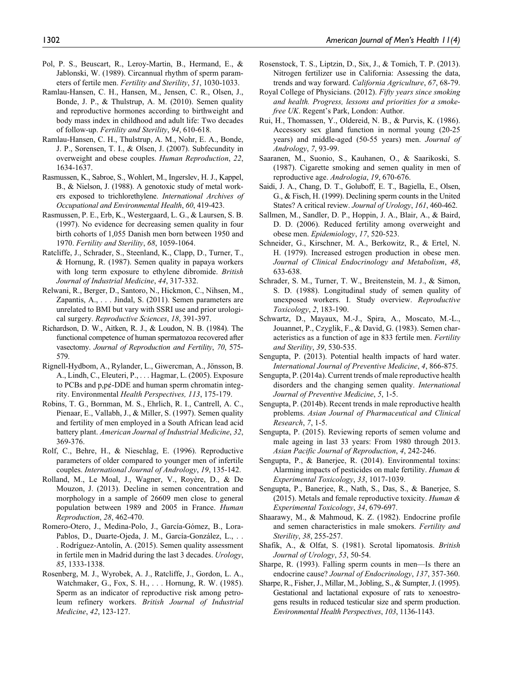- Pol, P. S., Beuscart, R., Leroy-Martin, B., Hermand, E., & Jablonski, W. (1989). Circannual rhythm of sperm parameters of fertile men. *Fertility and Sterility*, *51*, 1030-1033.
- Ramlau-Hansen, C. H., Hansen, M., Jensen, C. R., Olsen, J., Bonde, J. P., & Thulstrup, A. M. (2010). Semen quality and reproductive hormones according to birthweight and body mass index in childhood and adult life: Two decades of follow-up. *Fertility and Sterility*, *94*, 610-618.
- Ramlau-Hansen, C. H., Thulstrup, A. M., Nohr, E. A., Bonde, J. P., Sorensen, T. I., & Olsen, J. (2007). Subfecundity in overweight and obese couples. *Human Reproduction*, *22*, 1634-1637.
- Rasmussen, K., Sabroe, S., Wohlert, M., Ingerslev, H. J., Kappel, B., & Nielson, J. (1988). A genotoxic study of metal workers exposed to trichlorethylene. *International Archives of Occupational and Environmental Health*, *60*, 419-423.
- Rasmussen, P. E., Erb, K., Westergaard, L. G., & Laursen, S. B. (1997). No evidence for decreasing semen quality in four birth cohorts of 1,055 Danish men born between 1950 and 1970. *Fertility and Sterility*, *68*, 1059-1064.
- Ratcliffe, J., Schrader, S., Steenland, K., Clapp, D., Turner, T., & Hornung, R. (1987). Semen quality in papaya workers with long term exposure to ethylene dibromide. *British Journal of Industrial Medicine*, *44*, 317-332.
- Relwani, R., Berger, D., Santoro, N., Hickmon, C., Nihsen, M., Zapantis, A., . . . Jindal, S. (2011). Semen parameters are unrelated to BMI but vary with SSRI use and prior urological surgery. *Reproductive Sciences*, *18*, 391-397.
- Richardson, D. W., Aitken, R. J., & Loudon, N. B. (1984). The functional competence of human spermatozoa recovered after vasectomy. *Journal of Reproduction and Fertility*, *70*, 575- 579.
- Rignell-Hydbom, A., Rylander, L., Giwercman, A., Jönsson, B. A., Lindh, C., Eleuteri, P., . . . Hagmar, L. (2005). Exposure to PCBs and p,p¢-DDE and human sperm chromatin integrity. Environmental *Health Perspectives, 113*, 175-179.
- Robins, T. G., Bornman, M. S., Ehrlich, R. I., Cantrell, A. C., Pienaar, E., Vallabh, J., & Miller, S. (1997). Semen quality and fertility of men employed in a South African lead acid battery plant. *American Journal of Industrial Medicine*, *32*, 369-376.
- Rolf, C., Behre, H., & Nieschlag, E. (1996). Reproductive parameters of older compared to younger men of infertile couples. *International Journal of Andrology*, *19*, 135-142.
- Rolland, M., Le Moal, J., Wagner, V., Royère, D., & De Mouzon, J. (2013). Decline in semen concentration and morphology in a sample of 26609 men close to general population between 1989 and 2005 in France. *Human Reproduction*, *28*, 462-470.
- Romero-Otero, J., Medina-Polo, J., García-Gómez, B., Lora-Pablos, D., Duarte-Ojeda, J. M., García-González, L., . . . Rodríguez-Antolín, A. (2015). Semen quality assessment in fertile men in Madrid during the last 3 decades. *Urology*, *85*, 1333-1338.
- Rosenberg, M. J., Wyrobek, A. J., Ratcliffe, J., Gordon, L. A., Watchmaker, G., Fox, S. H., . . . Hornung, R. W. (1985). Sperm as an indicator of reproductive risk among petroleum refinery workers. *British Journal of Industrial Medicine*, *42*, 123-127.
- Rosenstock, T. S., Liptzin, D., Six, J., & Tomich, T. P. (2013). Nitrogen fertilizer use in California: Assessing the data, trends and way forward. *California Agriculture*, *67*, 68-79.
- Royal College of Physicians. (2012). *Fifty years since smoking and health. Progress, lessons and priorities for a smokefree UK*. Regent's Park, London: Author.
- Rui, H., Thomassen, Y., Oldereid, N. B., & Purvis, K. (1986). Accessory sex gland function in normal young (20-25 years) and middle-aged (50-55 years) men. *Journal of Andrology*, *7*, 93-99.
- Saaranen, M., Suonio, S., Kauhanen, O., & Saarikoski, S. (1987). Cigarette smoking and semen quality in men of reproductive age. *Andrologia*, *19*, 670-676.
- Saidi, J. A., Chang, D. T., Goluboff, E. T., Bagiella, E., Olsen, G., & Fisch, H. (1999). Declining sperm counts in the United States? A critical review. *Journal of Urology*, *161*, 460-462.
- Sallmen, M., Sandler, D. P., Hoppin, J. A., Blair, A., & Baird, D. D. (2006). Reduced fertility among overweight and obese men. *Epidemiology*, *17*, 520-523.
- Schneider, G., Kirschner, M. A., Berkowitz, R., & Ertel, N. H. (1979). Increased estrogen production in obese men. *Journal of Clinical Endocrinology and Metabolism*, *48*, 633-638.
- Schrader, S. M., Turner, T. W., Breitenstein, M. J., & Simon, S. D. (1988). Longitudinal study of semen quality of unexposed workers. I. Study overview. *Reproductive Toxicology*, *2*, 183-190.
- Schwartz, D., Mayaux, M.-J., Spira, A., Moscato, M.-L., Jouannet, P., Czyglik, F., & David, G. (1983). Semen characteristics as a function of age in 833 fertile men. *Fertility and Sterility*, *39*, 530-535.
- Sengupta, P. (2013). Potential health impacts of hard water. *International Journal of Preventive Medicine*, *4*, 866-875.
- Sengupta, P. (2014a). Current trends of male reproductive health disorders and the changing semen quality. *International Journal of Preventive Medicine*, *5*, 1-5.
- Sengupta, P. (2014b). Recent trends in male reproductive health problems. *Asian Journal of Pharmaceutical and Clinical Research*, *7*, 1-5.
- Sengupta, P. (2015). Reviewing reports of semen volume and male ageing in last 33 years: From 1980 through 2013. *Asian Pacific Journal of Reproduction*, *4*, 242-246.
- Sengupta, P., & Banerjee, R. (2014). Environmental toxins: Alarming impacts of pesticides on male fertility. *Human & Experimental Toxicology*, *33*, 1017-1039.
- Sengupta, P., Banerjee, R., Nath, S., Das, S., & Banerjee, S. (2015). Metals and female reproductive toxicity. *Human & Experimental Toxicology*, *34*, 679-697.
- Shaarawy, M., & Mahmoud, K. Z. (1982). Endocrine profile and semen characteristics in male smokers. *Fertility and Sterility*, *38*, 255-257.
- Shafik, A., & Olfat, S. (1981). Scrotal lipomatosis. *British Journal of Urology*, *53*, 50-54.
- Sharpe, R. (1993). Falling sperm counts in men—Is there an endocrine cause? *Journal of Endocrinology*, *137*, 357-360.
- Sharpe, R., Fisher, J., Millar, M., Jobling, S., & Sumpter, J. (1995). Gestational and lactational exposure of rats to xenoestrogens results in reduced testicular size and sperm production. *Environmental Health Perspectives*, *103*, 1136-1143.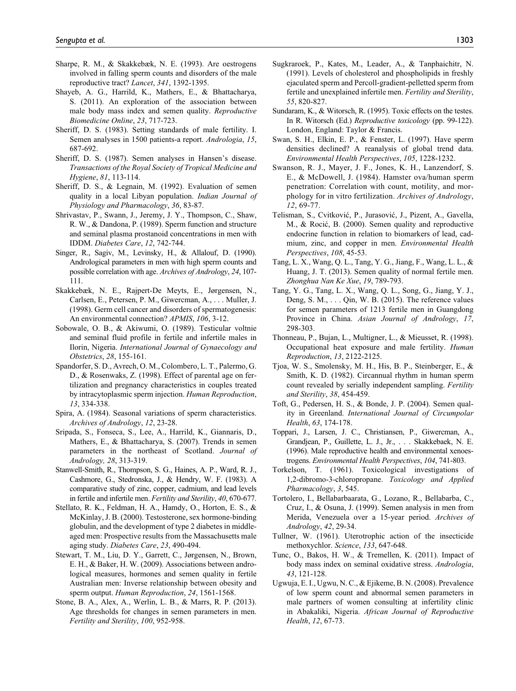- Sharpe, R. M., & Skakkebæk, N. E. (1993). Are oestrogens involved in falling sperm counts and disorders of the male reproductive tract? *Lancet*, *341*, 1392-1395.
- Shayeb, A. G., Harrild, K., Mathers, E., & Bhattacharya, S. (2011). An exploration of the association between male body mass index and semen quality. *Reproductive Biomedicine Online*, *23*, 717-723.
- Sheriff, D. S. (1983). Setting standards of male fertility. I. Semen analyses in 1500 patients-a report. *Andrologia*, *15*, 687-692.
- Sheriff, D. S. (1987). Semen analyses in Hansen's disease. *Transactions of the Royal Society of Tropical Medicine and Hygiene*, *81*, 113-114.
- Sheriff, D. S., & Legnain, M. (1992). Evaluation of semen quality in a local Libyan population. *Indian Journal of Physiology and Pharmacology*, *36*, 83-87.
- Shrivastav, P., Swann, J., Jeremy, J. Y., Thompson, C., Shaw, R. W., & Dandona, P. (1989). Sperm function and structure and seminal plasma prostanoid concentrations in men with IDDM. *Diabetes Care*, *12*, 742-744.
- Singer, R., Sagiv, M., Levinsky, H., & Allalouf, D. (1990). Andrological parameters in men with high sperm counts and possible correlation with age. *Archives of Andrology*, *24*, 107- 111.
- Skakkebæk, N. E., Rajpert-De Meyts, E., Jørgensen, N., Carlsen, E., Petersen, P. M., Giwercman, A., . . . Muller, J. (1998). Germ cell cancer and disorders of spermatogenesis: An environmental connection? *APMIS*, *106*, 3-12.
- Sobowale, O. B., & Akiwumi, O. (1989). Testicular voltnie and seminal fluid profile in fertile and infertile males in Ilorin, Nigeria. *International Journal of Gynaecology and Obstetrics*, *28*, 155-161.
- Spandorfer, S. D., Avrech, O. M., Colombero, L. T., Palermo, G. D., & Rosenwaks, Z. (1998). Effect of parental age on fertilization and pregnancy characteristics in couples treated by intracytoplasmic sperm injection. *Human Reproduction*, *13*, 334-338.
- Spira, A. (1984). Seasonal variations of sperm characteristics. *Archives of Andrology*, *12*, 23-28.
- Sripada, S., Fonseca, S., Lee, A., Harrild, K., Giannaris, D., Mathers, E., & Bhattacharya, S. (2007). Trends in semen parameters in the northeast of Scotland. *Journal of Andrology, 28*, 313-319.
- Stanwell-Smith, R., Thompson, S. G., Haines, A. P., Ward, R. J., Cashmore, G., Stedronska, J., & Hendry, W. F. (1983). A comparative study of zinc, copper, cadmium, and lead levels in fertile and infertile men. *Fertility and Sterility*, *40*, 670-677.
- Stellato, R. K., Feldman, H. A., Hamdy, O., Horton, E. S., & McKinlay, J. B. (2000). Testosterone, sex hormone-binding globulin, and the development of type 2 diabetes in middleaged men: Prospective results from the Massachusetts male aging study. *Diabetes Care*, *23*, 490-494.
- Stewart, T. M., Liu, D. Y., Garrett, C., Jørgensen, N., Brown, E. H., & Baker, H. W. (2009). Associations between andrological measures, hormones and semen quality in fertile Australian men: Inverse relationship between obesity and sperm output. *Human Reproduction*, *24*, 1561-1568.
- Stone, B. A., Alex, A., Werlin, L. B., & Marrs, R. P. (2013). Age thresholds for changes in semen parameters in men. *Fertility and Sterility*, *100*, 952-958.
- Sugkraroek, P., Kates, M., Leader, A., & Tanphaichitr, N. (1991). Levels of cholesterol and phospholipids in freshly ejaculated sperm and Percoll-gradient-pelletted sperm from fertile and unexplained infertile men. *Fertility and Sterility*, *55*, 820-827.
- Sundaram, K., & Witorsch, R. (1995). Toxic effects on the testes. In R. Witorsch (Ed.) *Reproductive toxicology* (pp. 99-122). London, England: Taylor & Francis.
- Swan, S. H., Elkin, E. P., & Fenster, L. (1997). Have sperm densities declined? A reanalysis of global trend data. *Environmental Health Perspectives*, *105*, 1228-1232.
- Swanson, R. J., Mayer, J. F., Jones, K. H., Lanzendorf, S. E., & McDowell, J. (1984). Hamster ova/human sperm penetration: Correlation with count, motility, and morphology for in vitro fertilization. *Archives of Andrology*, *12*, 69-77.
- Telisman, S., Cvitković, P., Jurasović, J., Pizent, A., Gavella, M., & Rocić, B. (2000). Semen quality and reproductive endocrine function in relation to biomarkers of lead, cadmium, zinc, and copper in men. *Environmental Health Perspectives*, *108*, 45-53.
- Tang, L. X., Wang, Q. L., Tang, Y. G., Jiang, F., Wang, L. L., & Huang, J. T. (2013). Semen quality of normal fertile men. *Zhonghua Nan Ke Xue*, *19*, 789-793.
- Tang, Y. G., Tang, L. X., Wang, Q. L., Song, G., Jiang, Y. J., Deng, S. M., . . . Qin, W. B. (2015). The reference values for semen parameters of 1213 fertile men in Guangdong Province in China. *Asian Journal of Andrology*, *17*, 298-303.
- Thonneau, P., Bujan, L., Multigner, L., & Mieusset, R. (1998). Occupational heat exposure and male fertility. *Human Reproduction*, *13*, 2122-2125.
- Tjoa, W. S., Smolensky, M. H., His, B. P., Steinberger, E., & Smith, K. D. (1982). Circannual rhythm in human sperm count revealed by serially independent sampling. *Fertility and Sterility*, *38*, 454-459.
- Toft, G., Pedersen, H. S., & Bonde, J. P. (2004). Semen quality in Greenland. *International Journal of Circumpolar Health*, *63*, 174-178.
- Toppari, J., Larsen, J. C., Christiansen, P., Giwercman, A., Grandjean, P., Guillette, L. J., Jr., . . . Skakkebaek, N. E. (1996). Male reproductive health and environmental xenoestrogens. *Environmental Health Perspectives*, *104*, 741-803.
- Torkelson, T. (1961). Toxicological investigations of 1,2-dibromo-3-chloropropane. *Toxicology and Applied Pharmacology*, *3*, 545.
- Tortolero, I., Bellabarbaarata, G., Lozano, R., Bellabarba, C., Cruz, I., & Osuna, J. (1999). Semen analysis in men from Merida, Venezuela over a 15-year period. *Archives of Andrology*, *42*, 29-34.
- Tullner, W. (1961). Uterotrophic action of the insecticide methoxychlor. *Science*, *133*, 647-648.
- Tunc, O., Bakos, H. W., & Tremellen, K. (2011). Impact of body mass index on seminal oxidative stress. *Andrologia*, *43*, 121-128.
- Ugwuja, E. I., Ugwu, N. C., & Ejikeme, B. N. (2008). Prevalence of low sperm count and abnormal semen parameters in male partners of women consulting at infertility clinic in Abakaliki, Nigeria. *African Journal of Reproductive Health*, *12*, 67-73.